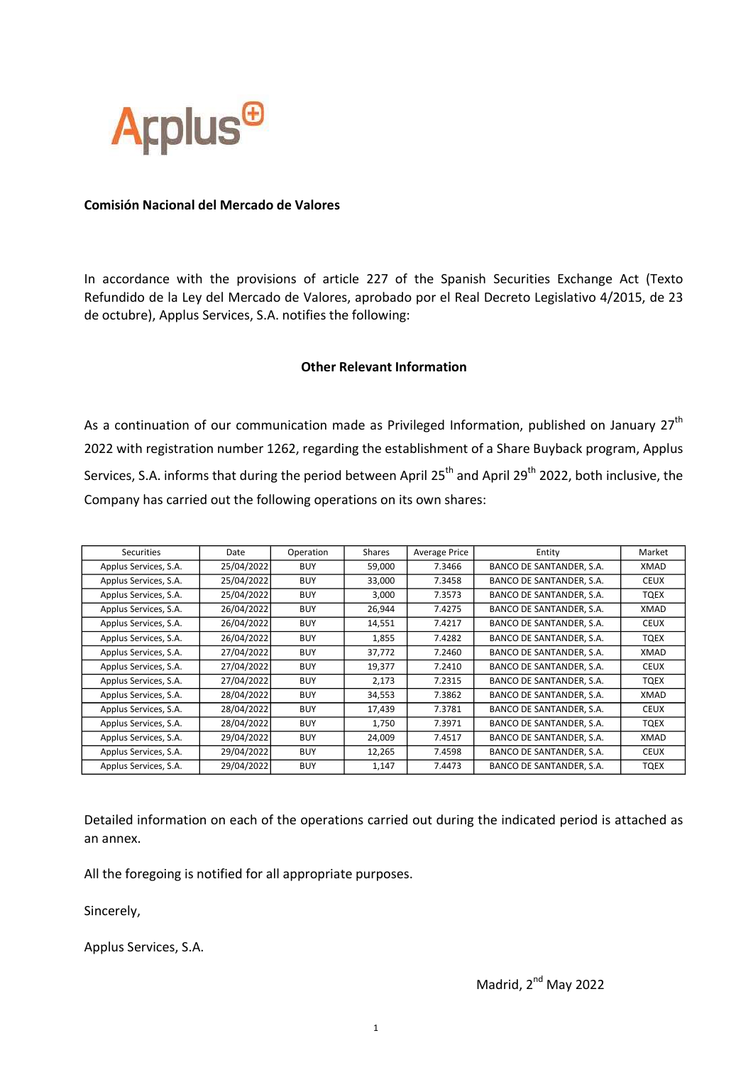

## Comisión Nacional del Mercado de Valores

In accordance with the provisions of article 227 of the Spanish Securities Exchange Act (Texto Refundido de la Ley del Mercado de Valores, aprobado por el Real Decreto Legislativo 4/2015, de 23 de octubre), Applus Services, S.A. notifies the following:

## Other Relevant Information

As a continuation of our communication made as Privileged Information, published on January  $27<sup>th</sup>$ 2022 with registration number 1262, regarding the establishment of a Share Buyback program, Applus Services, S.A. informs that during the period between April 25<sup>th</sup> and April 29<sup>th</sup> 2022, both inclusive, the Company has carried out the following operations on its own shares:

| Securities            | Date       | Operation  | Shares | Average Price | Entity                   | Market      |
|-----------------------|------------|------------|--------|---------------|--------------------------|-------------|
| Applus Services, S.A. | 25/04/2022 | <b>BUY</b> | 59,000 | 7.3466        | BANCO DE SANTANDER, S.A. | XMAD        |
| Applus Services, S.A. | 25/04/2022 | <b>BUY</b> | 33,000 | 7.3458        | BANCO DE SANTANDER, S.A. | <b>CEUX</b> |
| Applus Services, S.A. | 25/04/2022 | <b>BUY</b> | 3,000  | 7.3573        | BANCO DE SANTANDER, S.A. | TQEX        |
| Applus Services, S.A. | 26/04/2022 | <b>BUY</b> | 26,944 | 7.4275        | BANCO DE SANTANDER, S.A. | XMAD        |
| Applus Services, S.A. | 26/04/2022 | <b>BUY</b> | 14,551 | 7.4217        | BANCO DE SANTANDER, S.A. | <b>CEUX</b> |
| Applus Services, S.A. | 26/04/2022 | <b>BUY</b> | 1,855  | 7.4282        | BANCO DE SANTANDER, S.A. | TQEX        |
| Applus Services, S.A. | 27/04/2022 | <b>BUY</b> | 37,772 | 7.2460        | BANCO DE SANTANDER, S.A. | XMAD        |
| Applus Services, S.A. | 27/04/2022 | <b>BUY</b> | 19,377 | 7.2410        | BANCO DE SANTANDER, S.A. | <b>CEUX</b> |
| Applus Services, S.A. | 27/04/2022 | <b>BUY</b> | 2,173  | 7.2315        | BANCO DE SANTANDER, S.A. | TQEX        |
| Applus Services, S.A. | 28/04/2022 | <b>BUY</b> | 34,553 | 7.3862        | BANCO DE SANTANDER, S.A. | XMAD        |
| Applus Services, S.A. | 28/04/2022 | <b>BUY</b> | 17,439 | 7.3781        | BANCO DE SANTANDER, S.A. | <b>CEUX</b> |
| Applus Services, S.A. | 28/04/2022 | <b>BUY</b> | 1,750  | 7.3971        | BANCO DE SANTANDER, S.A. | TQEX        |
| Applus Services, S.A. | 29/04/2022 | <b>BUY</b> | 24,009 | 7.4517        | BANCO DE SANTANDER, S.A. | XMAD        |
| Applus Services, S.A. | 29/04/2022 | <b>BUY</b> | 12,265 | 7.4598        | BANCO DE SANTANDER, S.A. | <b>CEUX</b> |
| Applus Services, S.A. | 29/04/2022 | <b>BUY</b> | 1,147  | 7.4473        | BANCO DE SANTANDER, S.A. | <b>TQEX</b> |

Detailed information on each of the operations carried out during the indicated period is attached as an annex.

All the foregoing is notified for all appropriate purposes.

Sincerely,

Applus Services, S.A.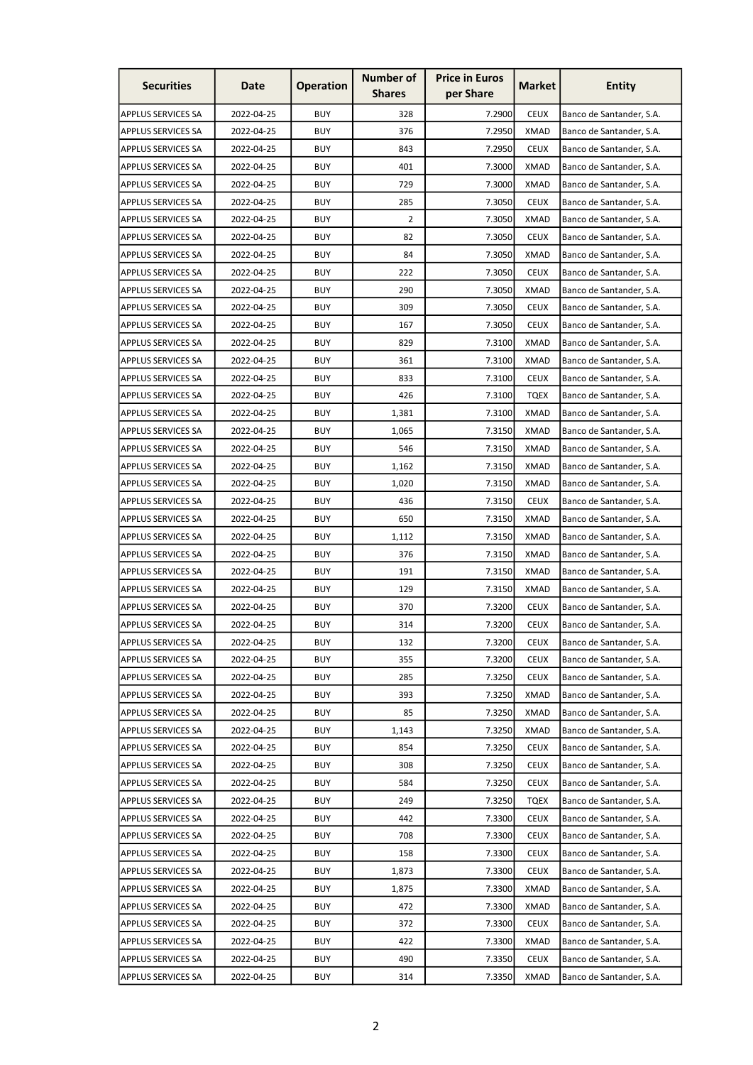| <b>Securities</b>         | Date       | <b>Operation</b> | <b>Number of</b><br><b>Shares</b> | <b>Price in Euros</b><br>per Share | <b>Market</b> | <b>Entity</b>            |
|---------------------------|------------|------------------|-----------------------------------|------------------------------------|---------------|--------------------------|
| <b>APPLUS SERVICES SA</b> | 2022-04-25 | <b>BUY</b>       | 328                               | 7.2900                             | <b>CEUX</b>   | Banco de Santander, S.A. |
| <b>APPLUS SERVICES SA</b> | 2022-04-25 | <b>BUY</b>       | 376                               | 7.2950                             | <b>XMAD</b>   | Banco de Santander, S.A. |
| APPLUS SERVICES SA        | 2022-04-25 | <b>BUY</b>       | 843                               | 7.2950                             | <b>CEUX</b>   | Banco de Santander, S.A. |
| <b>APPLUS SERVICES SA</b> | 2022-04-25 | <b>BUY</b>       | 401                               | 7.3000                             | <b>XMAD</b>   | Banco de Santander, S.A. |
| <b>APPLUS SERVICES SA</b> | 2022-04-25 | <b>BUY</b>       | 729                               | 7.3000                             | <b>XMAD</b>   | Banco de Santander, S.A. |
| <b>APPLUS SERVICES SA</b> | 2022-04-25 | <b>BUY</b>       | 285                               | 7.3050                             | <b>CEUX</b>   | Banco de Santander, S.A. |
| APPLUS SERVICES SA        | 2022-04-25 | <b>BUY</b>       | 2                                 | 7.3050                             | XMAD          | Banco de Santander, S.A. |
| APPLUS SERVICES SA        | 2022-04-25 | <b>BUY</b>       | 82                                | 7.3050                             | <b>CEUX</b>   | Banco de Santander, S.A. |
| APPLUS SERVICES SA        | 2022-04-25 | <b>BUY</b>       | 84                                | 7.3050                             | <b>XMAD</b>   | Banco de Santander, S.A. |
| <b>APPLUS SERVICES SA</b> | 2022-04-25 | <b>BUY</b>       | 222                               | 7.3050                             | <b>CEUX</b>   | Banco de Santander, S.A. |
| APPLUS SERVICES SA        | 2022-04-25 | <b>BUY</b>       | 290                               | 7.3050                             | <b>XMAD</b>   | Banco de Santander, S.A. |
| APPLUS SERVICES SA        | 2022-04-25 | <b>BUY</b>       | 309                               | 7.3050                             | <b>CEUX</b>   | Banco de Santander, S.A. |
| <b>APPLUS SERVICES SA</b> | 2022-04-25 | <b>BUY</b>       | 167                               | 7.3050                             | <b>CEUX</b>   | Banco de Santander, S.A. |
| APPLUS SERVICES SA        | 2022-04-25 | <b>BUY</b>       | 829                               | 7.3100                             | <b>XMAD</b>   | Banco de Santander, S.A. |
| APPLUS SERVICES SA        | 2022-04-25 | <b>BUY</b>       | 361                               | 7.3100                             | <b>XMAD</b>   | Banco de Santander, S.A. |
| APPLUS SERVICES SA        | 2022-04-25 | <b>BUY</b>       | 833                               | 7.3100                             | <b>CEUX</b>   | Banco de Santander, S.A. |
| APPLUS SERVICES SA        | 2022-04-25 | <b>BUY</b>       | 426                               | 7.3100                             | <b>TQEX</b>   | Banco de Santander, S.A. |
| APPLUS SERVICES SA        | 2022-04-25 | <b>BUY</b>       | 1,381                             | 7.3100                             | <b>XMAD</b>   | Banco de Santander, S.A. |
| <b>APPLUS SERVICES SA</b> | 2022-04-25 | <b>BUY</b>       | 1,065                             | 7.3150                             | <b>XMAD</b>   | Banco de Santander, S.A. |
| APPLUS SERVICES SA        | 2022-04-25 | <b>BUY</b>       | 546                               | 7.3150                             | <b>XMAD</b>   | Banco de Santander, S.A. |
| <b>APPLUS SERVICES SA</b> | 2022-04-25 | <b>BUY</b>       | 1,162                             | 7.3150                             | <b>XMAD</b>   | Banco de Santander, S.A. |
| <b>APPLUS SERVICES SA</b> | 2022-04-25 | <b>BUY</b>       | 1,020                             | 7.3150                             | <b>XMAD</b>   | Banco de Santander, S.A. |
| APPLUS SERVICES SA        | 2022-04-25 | <b>BUY</b>       | 436                               | 7.3150                             | <b>CEUX</b>   | Banco de Santander, S.A. |
| <b>APPLUS SERVICES SA</b> | 2022-04-25 | <b>BUY</b>       | 650                               | 7.3150                             | <b>XMAD</b>   | Banco de Santander, S.A. |
| APPLUS SERVICES SA        | 2022-04-25 | <b>BUY</b>       | 1,112                             | 7.3150                             | <b>XMAD</b>   | Banco de Santander, S.A. |
| <b>APPLUS SERVICES SA</b> | 2022-04-25 | <b>BUY</b>       | 376                               | 7.3150                             | XMAD          | Banco de Santander, S.A. |
| <b>APPLUS SERVICES SA</b> | 2022-04-25 | <b>BUY</b>       | 191                               | 7.3150                             | <b>XMAD</b>   | Banco de Santander, S.A. |
| <b>APPLUS SERVICES SA</b> | 2022-04-25 | <b>BUY</b>       | 129                               | 7.3150                             | <b>XMAD</b>   | Banco de Santander, S.A. |
| <b>APPLUS SERVICES SA</b> | 2022-04-25 | <b>BUY</b>       | 370                               | 7.3200                             | <b>CEUX</b>   | Banco de Santander, S.A. |
| <b>APPLUS SERVICES SA</b> | 2022-04-25 | <b>BUY</b>       | 314                               | 7.3200                             | <b>CEUX</b>   | Banco de Santander, S.A. |
| <b>APPLUS SERVICES SA</b> | 2022-04-25 | <b>BUY</b>       | 132                               | 7.3200                             | <b>CEUX</b>   | Banco de Santander, S.A. |
| <b>APPLUS SERVICES SA</b> | 2022-04-25 | <b>BUY</b>       | 355                               | 7.3200                             | <b>CEUX</b>   | Banco de Santander, S.A. |
| <b>APPLUS SERVICES SA</b> | 2022-04-25 | <b>BUY</b>       | 285                               | 7.3250                             | <b>CEUX</b>   | Banco de Santander, S.A. |
| <b>APPLUS SERVICES SA</b> | 2022-04-25 | <b>BUY</b>       | 393                               | 7.3250                             | XMAD          | Banco de Santander, S.A. |
| <b>APPLUS SERVICES SA</b> | 2022-04-25 | <b>BUY</b>       | 85                                | 7.3250                             | XMAD          | Banco de Santander, S.A. |
| <b>APPLUS SERVICES SA</b> | 2022-04-25 | <b>BUY</b>       | 1,143                             | 7.3250                             | XMAD          | Banco de Santander, S.A. |
| <b>APPLUS SERVICES SA</b> | 2022-04-25 | <b>BUY</b>       | 854                               | 7.3250                             | <b>CEUX</b>   | Banco de Santander, S.A. |
| <b>APPLUS SERVICES SA</b> | 2022-04-25 | <b>BUY</b>       | 308                               | 7.3250                             | <b>CEUX</b>   | Banco de Santander, S.A. |
| <b>APPLUS SERVICES SA</b> | 2022-04-25 | <b>BUY</b>       | 584                               | 7.3250                             | <b>CEUX</b>   | Banco de Santander, S.A. |
| <b>APPLUS SERVICES SA</b> | 2022-04-25 | <b>BUY</b>       | 249                               | 7.3250                             | <b>TQEX</b>   | Banco de Santander, S.A. |
| <b>APPLUS SERVICES SA</b> | 2022-04-25 | <b>BUY</b>       | 442                               | 7.3300                             | <b>CEUX</b>   | Banco de Santander, S.A. |
| <b>APPLUS SERVICES SA</b> | 2022-04-25 | <b>BUY</b>       | 708                               | 7.3300                             | <b>CEUX</b>   | Banco de Santander, S.A. |
| <b>APPLUS SERVICES SA</b> | 2022-04-25 | <b>BUY</b>       | 158                               | 7.3300                             | <b>CEUX</b>   | Banco de Santander, S.A. |
| <b>APPLUS SERVICES SA</b> | 2022-04-25 | <b>BUY</b>       | 1,873                             | 7.3300                             | <b>CEUX</b>   | Banco de Santander, S.A. |
| <b>APPLUS SERVICES SA</b> | 2022-04-25 | <b>BUY</b>       | 1,875                             | 7.3300                             | XMAD          | Banco de Santander, S.A. |
| <b>APPLUS SERVICES SA</b> | 2022-04-25 | <b>BUY</b>       | 472                               | 7.3300                             | XMAD          | Banco de Santander, S.A. |
| <b>APPLUS SERVICES SA</b> | 2022-04-25 | <b>BUY</b>       | 372                               | 7.3300                             | <b>CEUX</b>   | Banco de Santander, S.A. |
| APPLUS SERVICES SA        | 2022-04-25 | <b>BUY</b>       | 422                               | 7.3300                             | XMAD          | Banco de Santander, S.A. |
| <b>APPLUS SERVICES SA</b> | 2022-04-25 | <b>BUY</b>       | 490                               | 7.3350                             | <b>CEUX</b>   | Banco de Santander, S.A. |
| <b>APPLUS SERVICES SA</b> | 2022-04-25 | <b>BUY</b>       | 314                               | 7.3350                             | XMAD          | Banco de Santander, S.A. |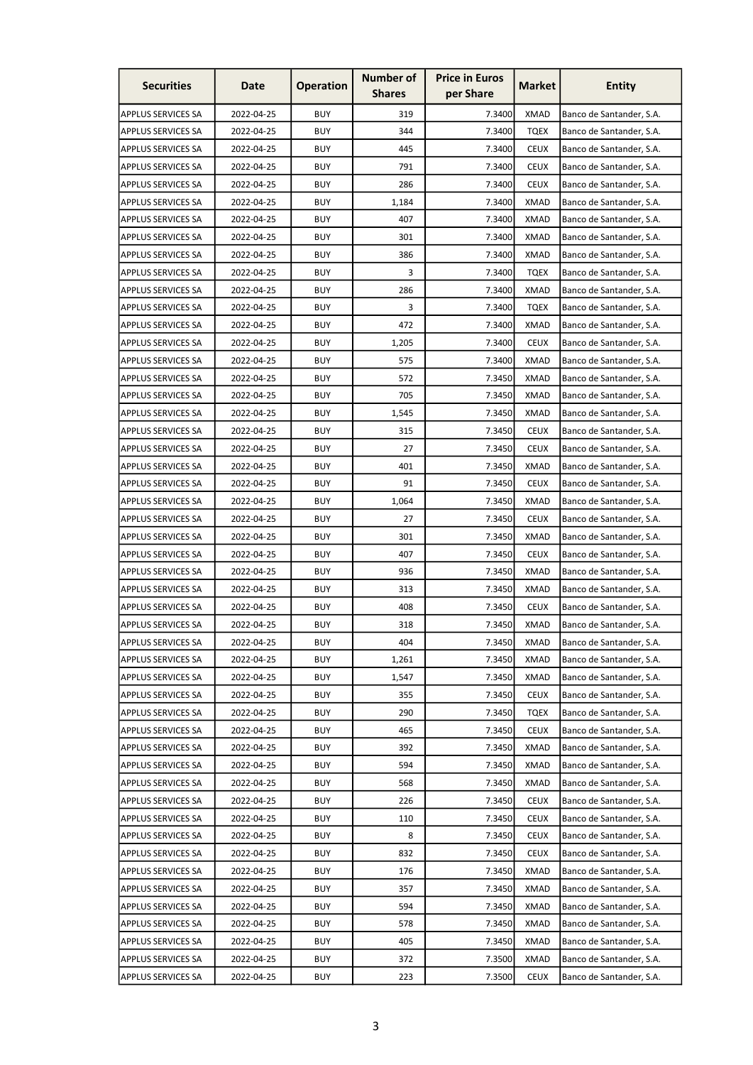| <b>Securities</b>         | Date       | <b>Operation</b> | <b>Number of</b><br><b>Shares</b> | <b>Price in Euros</b><br>per Share | <b>Market</b> | <b>Entity</b>            |
|---------------------------|------------|------------------|-----------------------------------|------------------------------------|---------------|--------------------------|
| <b>APPLUS SERVICES SA</b> | 2022-04-25 | <b>BUY</b>       | 319                               | 7.3400                             | XMAD          | Banco de Santander, S.A. |
| <b>APPLUS SERVICES SA</b> | 2022-04-25 | <b>BUY</b>       | 344                               | 7.3400                             | <b>TQEX</b>   | Banco de Santander, S.A. |
| <b>APPLUS SERVICES SA</b> | 2022-04-25 | <b>BUY</b>       | 445                               | 7.3400                             | <b>CEUX</b>   | Banco de Santander, S.A. |
| <b>APPLUS SERVICES SA</b> | 2022-04-25 | <b>BUY</b>       | 791                               | 7.3400                             | <b>CEUX</b>   | Banco de Santander, S.A. |
| <b>APPLUS SERVICES SA</b> | 2022-04-25 | <b>BUY</b>       | 286                               | 7.3400                             | <b>CEUX</b>   | Banco de Santander, S.A. |
| APPLUS SERVICES SA        | 2022-04-25 | <b>BUY</b>       | 1,184                             | 7.3400                             | <b>XMAD</b>   | Banco de Santander, S.A. |
| <b>APPLUS SERVICES SA</b> | 2022-04-25 | <b>BUY</b>       | 407                               | 7.3400                             | <b>XMAD</b>   | Banco de Santander, S.A. |
| <b>APPLUS SERVICES SA</b> | 2022-04-25 | <b>BUY</b>       | 301                               | 7.3400                             | <b>XMAD</b>   | Banco de Santander, S.A. |
| APPLUS SERVICES SA        | 2022-04-25 | <b>BUY</b>       | 386                               | 7.3400                             | <b>XMAD</b>   | Banco de Santander, S.A. |
| <b>APPLUS SERVICES SA</b> | 2022-04-25 | <b>BUY</b>       | 3                                 | 7.3400                             | <b>TQEX</b>   | Banco de Santander, S.A. |
| APPLUS SERVICES SA        | 2022-04-25 | <b>BUY</b>       | 286                               | 7.3400                             | XMAD          | Banco de Santander, S.A. |
| APPLUS SERVICES SA        | 2022-04-25 | <b>BUY</b>       | 3                                 | 7.3400                             | <b>TQEX</b>   | Banco de Santander, S.A. |
| <b>APPLUS SERVICES SA</b> | 2022-04-25 | <b>BUY</b>       | 472                               | 7.3400                             | <b>XMAD</b>   | Banco de Santander, S.A. |
| APPLUS SERVICES SA        | 2022-04-25 | <b>BUY</b>       | 1,205                             | 7.3400                             | <b>CEUX</b>   | Banco de Santander, S.A. |
| APPLUS SERVICES SA        | 2022-04-25 | <b>BUY</b>       | 575                               | 7.3400                             | <b>XMAD</b>   | Banco de Santander, S.A. |
| <b>APPLUS SERVICES SA</b> | 2022-04-25 | <b>BUY</b>       | 572                               | 7.3450                             | <b>XMAD</b>   | Banco de Santander, S.A. |
| APPLUS SERVICES SA        | 2022-04-25 | <b>BUY</b>       | 705                               | 7.3450                             | <b>XMAD</b>   | Banco de Santander, S.A. |
| APPLUS SERVICES SA        | 2022-04-25 | <b>BUY</b>       | 1,545                             | 7.3450                             | <b>XMAD</b>   | Banco de Santander, S.A. |
| <b>APPLUS SERVICES SA</b> | 2022-04-25 | <b>BUY</b>       | 315                               | 7.3450                             | <b>CEUX</b>   | Banco de Santander, S.A. |
| APPLUS SERVICES SA        | 2022-04-25 | <b>BUY</b>       | 27                                | 7.3450                             | <b>CEUX</b>   | Banco de Santander, S.A. |
| APPLUS SERVICES SA        | 2022-04-25 | <b>BUY</b>       | 401                               | 7.3450                             | <b>XMAD</b>   | Banco de Santander, S.A. |
| APPLUS SERVICES SA        | 2022-04-25 | <b>BUY</b>       | 91                                | 7.3450                             | <b>CEUX</b>   | Banco de Santander, S.A. |
| APPLUS SERVICES SA        | 2022-04-25 | <b>BUY</b>       | 1,064                             | 7.3450                             | XMAD          | Banco de Santander, S.A. |
| APPLUS SERVICES SA        | 2022-04-25 | <b>BUY</b>       | 27                                | 7.3450                             | <b>CEUX</b>   | Banco de Santander, S.A. |
| APPLUS SERVICES SA        | 2022-04-25 | <b>BUY</b>       | 301                               | 7.3450                             | <b>XMAD</b>   | Banco de Santander, S.A. |
| APPLUS SERVICES SA        | 2022-04-25 | <b>BUY</b>       | 407                               | 7.3450                             | <b>CEUX</b>   | Banco de Santander, S.A. |
| <b>APPLUS SERVICES SA</b> | 2022-04-25 | <b>BUY</b>       | 936                               | 7.3450                             | <b>XMAD</b>   | Banco de Santander, S.A. |
| <b>APPLUS SERVICES SA</b> | 2022-04-25 | <b>BUY</b>       | 313                               | 7.3450                             | <b>XMAD</b>   | Banco de Santander, S.A. |
| <b>APPLUS SERVICES SA</b> | 2022-04-25 | <b>BUY</b>       | 408                               | 7.3450                             | <b>CEUX</b>   | Banco de Santander, S.A. |
| <b>APPLUS SERVICES SA</b> | 2022-04-25 | <b>BUY</b>       | 318                               | 7.3450                             | <b>XMAD</b>   | Banco de Santander, S.A. |
| <b>APPLUS SERVICES SA</b> | 2022-04-25 | <b>BUY</b>       | 404                               | 7.3450                             | XMAD          | Banco de Santander, S.A. |
| <b>APPLUS SERVICES SA</b> | 2022-04-25 | <b>BUY</b>       | 1,261                             | 7.3450                             | XMAD          | Banco de Santander, S.A. |
| <b>APPLUS SERVICES SA</b> | 2022-04-25 | <b>BUY</b>       | 1,547                             | 7.3450                             | XMAD          | Banco de Santander, S.A. |
| <b>APPLUS SERVICES SA</b> | 2022-04-25 | <b>BUY</b>       | 355                               | 7.3450                             | <b>CEUX</b>   | Banco de Santander, S.A. |
| <b>APPLUS SERVICES SA</b> | 2022-04-25 | <b>BUY</b>       | 290                               | 7.3450                             | <b>TQEX</b>   | Banco de Santander, S.A. |
| <b>APPLUS SERVICES SA</b> | 2022-04-25 | <b>BUY</b>       | 465                               | 7.3450                             | <b>CEUX</b>   | Banco de Santander, S.A. |
| <b>APPLUS SERVICES SA</b> | 2022-04-25 | <b>BUY</b>       | 392                               | 7.3450                             | XMAD          | Banco de Santander, S.A. |
| <b>APPLUS SERVICES SA</b> | 2022-04-25 | <b>BUY</b>       | 594                               | 7.3450                             | XMAD          | Banco de Santander, S.A. |
| APPLUS SERVICES SA        | 2022-04-25 | <b>BUY</b>       | 568                               | 7.3450                             | XMAD          | Banco de Santander, S.A. |
| APPLUS SERVICES SA        | 2022-04-25 | <b>BUY</b>       | 226                               | 7.3450                             | <b>CEUX</b>   | Banco de Santander, S.A. |
| <b>APPLUS SERVICES SA</b> | 2022-04-25 | <b>BUY</b>       | 110                               | 7.3450                             | <b>CEUX</b>   | Banco de Santander, S.A. |
| <b>APPLUS SERVICES SA</b> | 2022-04-25 | <b>BUY</b>       | 8                                 | 7.3450                             | <b>CEUX</b>   | Banco de Santander, S.A. |
| <b>APPLUS SERVICES SA</b> | 2022-04-25 | <b>BUY</b>       | 832                               | 7.3450                             | <b>CEUX</b>   | Banco de Santander, S.A. |
| <b>APPLUS SERVICES SA</b> | 2022-04-25 | <b>BUY</b>       | 176                               | 7.3450                             | XMAD          | Banco de Santander, S.A. |
| <b>APPLUS SERVICES SA</b> | 2022-04-25 | <b>BUY</b>       | 357                               | 7.3450                             | XMAD          | Banco de Santander, S.A. |
| <b>APPLUS SERVICES SA</b> | 2022-04-25 | <b>BUY</b>       | 594                               | 7.3450                             | XMAD          | Banco de Santander, S.A. |
| <b>APPLUS SERVICES SA</b> | 2022-04-25 | <b>BUY</b>       | 578                               | 7.3450                             | XMAD          | Banco de Santander, S.A. |
| APPLUS SERVICES SA        | 2022-04-25 | <b>BUY</b>       | 405                               | 7.3450                             | XMAD          | Banco de Santander, S.A. |
| <b>APPLUS SERVICES SA</b> | 2022-04-25 | <b>BUY</b>       | 372                               | 7.3500                             | XMAD          | Banco de Santander, S.A. |
| <b>APPLUS SERVICES SA</b> | 2022-04-25 | <b>BUY</b>       | 223                               | 7.3500                             | <b>CEUX</b>   | Banco de Santander, S.A. |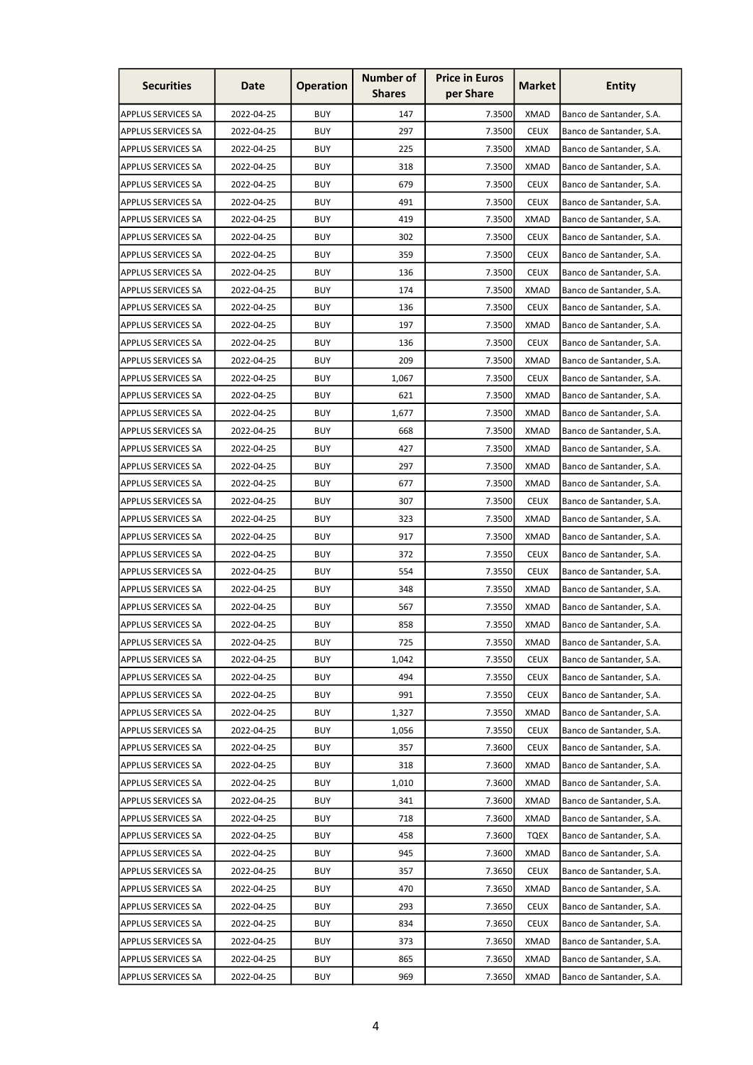| <b>Securities</b>         | Date       | <b>Operation</b> | <b>Number of</b><br><b>Shares</b> | <b>Price in Euros</b><br>per Share | <b>Market</b> | <b>Entity</b>            |
|---------------------------|------------|------------------|-----------------------------------|------------------------------------|---------------|--------------------------|
| <b>APPLUS SERVICES SA</b> | 2022-04-25 | <b>BUY</b>       | 147                               | 7.3500                             | <b>XMAD</b>   | Banco de Santander, S.A. |
| <b>APPLUS SERVICES SA</b> | 2022-04-25 | <b>BUY</b>       | 297                               | 7.3500                             | <b>CEUX</b>   | Banco de Santander, S.A. |
| <b>APPLUS SERVICES SA</b> | 2022-04-25 | <b>BUY</b>       | 225                               | 7.3500                             | <b>XMAD</b>   | Banco de Santander, S.A. |
| <b>APPLUS SERVICES SA</b> | 2022-04-25 | <b>BUY</b>       | 318                               | 7.3500                             | <b>XMAD</b>   | Banco de Santander, S.A. |
| <b>APPLUS SERVICES SA</b> | 2022-04-25 | <b>BUY</b>       | 679                               | 7.3500                             | <b>CEUX</b>   | Banco de Santander, S.A. |
| <b>APPLUS SERVICES SA</b> | 2022-04-25 | <b>BUY</b>       | 491                               | 7.3500                             | <b>CEUX</b>   | Banco de Santander, S.A. |
| <b>APPLUS SERVICES SA</b> | 2022-04-25 | <b>BUY</b>       | 419                               | 7.3500                             | <b>XMAD</b>   | Banco de Santander, S.A. |
| <b>APPLUS SERVICES SA</b> | 2022-04-25 | <b>BUY</b>       | 302                               | 7.3500                             | <b>CEUX</b>   | Banco de Santander, S.A. |
| APPLUS SERVICES SA        | 2022-04-25 | <b>BUY</b>       | 359                               | 7.3500                             | <b>CEUX</b>   | Banco de Santander, S.A. |
| <b>APPLUS SERVICES SA</b> | 2022-04-25 | <b>BUY</b>       | 136                               | 7.3500                             | <b>CEUX</b>   | Banco de Santander, S.A. |
| APPLUS SERVICES SA        | 2022-04-25 | <b>BUY</b>       | 174                               | 7.3500                             | <b>XMAD</b>   | Banco de Santander, S.A. |
| APPLUS SERVICES SA        | 2022-04-25 | <b>BUY</b>       | 136                               | 7.3500                             | <b>CEUX</b>   | Banco de Santander, S.A. |
| <b>APPLUS SERVICES SA</b> | 2022-04-25 | <b>BUY</b>       | 197                               | 7.3500                             | <b>XMAD</b>   | Banco de Santander, S.A. |
| APPLUS SERVICES SA        | 2022-04-25 | <b>BUY</b>       | 136                               | 7.3500                             | <b>CEUX</b>   | Banco de Santander, S.A. |
| APPLUS SERVICES SA        | 2022-04-25 | <b>BUY</b>       | 209                               | 7.3500                             | <b>XMAD</b>   | Banco de Santander, S.A. |
| <b>APPLUS SERVICES SA</b> | 2022-04-25 | <b>BUY</b>       | 1,067                             | 7.3500                             | <b>CEUX</b>   | Banco de Santander, S.A. |
| APPLUS SERVICES SA        | 2022-04-25 | <b>BUY</b>       | 621                               | 7.3500                             | <b>XMAD</b>   | Banco de Santander, S.A. |
| APPLUS SERVICES SA        | 2022-04-25 | <b>BUY</b>       | 1,677                             | 7.3500                             | <b>XMAD</b>   | Banco de Santander, S.A. |
| <b>APPLUS SERVICES SA</b> | 2022-04-25 | <b>BUY</b>       | 668                               | 7.3500                             | XMAD          | Banco de Santander, S.A. |
| APPLUS SERVICES SA        | 2022-04-25 | <b>BUY</b>       | 427                               | 7.3500                             | <b>XMAD</b>   | Banco de Santander, S.A. |
| APPLUS SERVICES SA        | 2022-04-25 | <b>BUY</b>       | 297                               | 7.3500                             | <b>XMAD</b>   | Banco de Santander, S.A. |
| APPLUS SERVICES SA        | 2022-04-25 | <b>BUY</b>       | 677                               | 7.3500                             | <b>XMAD</b>   | Banco de Santander, S.A. |
| APPLUS SERVICES SA        | 2022-04-25 | <b>BUY</b>       | 307                               | 7.3500                             | <b>CEUX</b>   | Banco de Santander, S.A. |
| APPLUS SERVICES SA        | 2022-04-25 | <b>BUY</b>       | 323                               | 7.3500                             | <b>XMAD</b>   | Banco de Santander, S.A. |
| APPLUS SERVICES SA        | 2022-04-25 | <b>BUY</b>       | 917                               | 7.3500                             | XMAD          | Banco de Santander, S.A. |
| APPLUS SERVICES SA        | 2022-04-25 | <b>BUY</b>       | 372                               | 7.3550                             | <b>CEUX</b>   | Banco de Santander, S.A. |
| <b>APPLUS SERVICES SA</b> | 2022-04-25 | <b>BUY</b>       | 554                               | 7.3550                             | <b>CEUX</b>   | Banco de Santander, S.A. |
| <b>APPLUS SERVICES SA</b> | 2022-04-25 | <b>BUY</b>       | 348                               | 7.3550                             | <b>XMAD</b>   | Banco de Santander, S.A. |
| <b>APPLUS SERVICES SA</b> | 2022-04-25 | <b>BUY</b>       | 567                               | 7.3550                             | <b>XMAD</b>   | Banco de Santander, S.A. |
| <b>APPLUS SERVICES SA</b> | 2022-04-25 | <b>BUY</b>       | 858                               | 7.3550                             | <b>XMAD</b>   | Banco de Santander, S.A. |
| <b>APPLUS SERVICES SA</b> | 2022-04-25 | <b>BUY</b>       | 725                               | 7.3550                             | <b>XMAD</b>   | Banco de Santander, S.A. |
| <b>APPLUS SERVICES SA</b> | 2022-04-25 | <b>BUY</b>       | 1,042                             | 7.3550                             | <b>CEUX</b>   | Banco de Santander, S.A. |
| <b>APPLUS SERVICES SA</b> | 2022-04-25 | <b>BUY</b>       | 494                               | 7.3550                             | <b>CEUX</b>   | Banco de Santander, S.A. |
| <b>APPLUS SERVICES SA</b> | 2022-04-25 | <b>BUY</b>       | 991                               | 7.3550                             | <b>CEUX</b>   | Banco de Santander, S.A. |
| <b>APPLUS SERVICES SA</b> | 2022-04-25 | <b>BUY</b>       | 1,327                             | 7.3550                             | <b>XMAD</b>   | Banco de Santander, S.A. |
| <b>APPLUS SERVICES SA</b> | 2022-04-25 | <b>BUY</b>       | 1,056                             | 7.3550                             | <b>CEUX</b>   | Banco de Santander, S.A. |
| <b>APPLUS SERVICES SA</b> | 2022-04-25 | <b>BUY</b>       | 357                               | 7.3600                             | <b>CEUX</b>   | Banco de Santander, S.A. |
| <b>APPLUS SERVICES SA</b> | 2022-04-25 | <b>BUY</b>       | 318                               | 7.3600                             | <b>XMAD</b>   | Banco de Santander, S.A. |
| <b>APPLUS SERVICES SA</b> | 2022-04-25 | <b>BUY</b>       | 1,010                             | 7.3600                             | <b>XMAD</b>   | Banco de Santander, S.A. |
| APPLUS SERVICES SA        | 2022-04-25 | <b>BUY</b>       | 341                               | 7.3600                             | <b>XMAD</b>   | Banco de Santander, S.A. |
| <b>APPLUS SERVICES SA</b> | 2022-04-25 | <b>BUY</b>       | 718                               | 7.3600                             | <b>XMAD</b>   | Banco de Santander, S.A. |
| <b>APPLUS SERVICES SA</b> | 2022-04-25 | <b>BUY</b>       | 458                               | 7.3600                             | <b>TQEX</b>   | Banco de Santander, S.A. |
| <b>APPLUS SERVICES SA</b> | 2022-04-25 | <b>BUY</b>       | 945                               | 7.3600                             | <b>XMAD</b>   | Banco de Santander, S.A. |
| <b>APPLUS SERVICES SA</b> | 2022-04-25 | <b>BUY</b>       | 357                               | 7.3650                             | <b>CEUX</b>   | Banco de Santander, S.A. |
| <b>APPLUS SERVICES SA</b> | 2022-04-25 | <b>BUY</b>       | 470                               | 7.3650                             | <b>XMAD</b>   | Banco de Santander, S.A. |
| <b>APPLUS SERVICES SA</b> | 2022-04-25 | <b>BUY</b>       | 293                               | 7.3650                             | <b>CEUX</b>   | Banco de Santander, S.A. |
| <b>APPLUS SERVICES SA</b> | 2022-04-25 | <b>BUY</b>       | 834                               | 7.3650                             | <b>CEUX</b>   | Banco de Santander, S.A. |
| <b>APPLUS SERVICES SA</b> | 2022-04-25 | <b>BUY</b>       | 373                               | 7.3650                             | <b>XMAD</b>   | Banco de Santander, S.A. |
| <b>APPLUS SERVICES SA</b> | 2022-04-25 | <b>BUY</b>       | 865                               | 7.3650                             | <b>XMAD</b>   | Banco de Santander, S.A. |
| <b>APPLUS SERVICES SA</b> | 2022-04-25 | <b>BUY</b>       | 969                               | 7.3650                             | <b>XMAD</b>   | Banco de Santander, S.A. |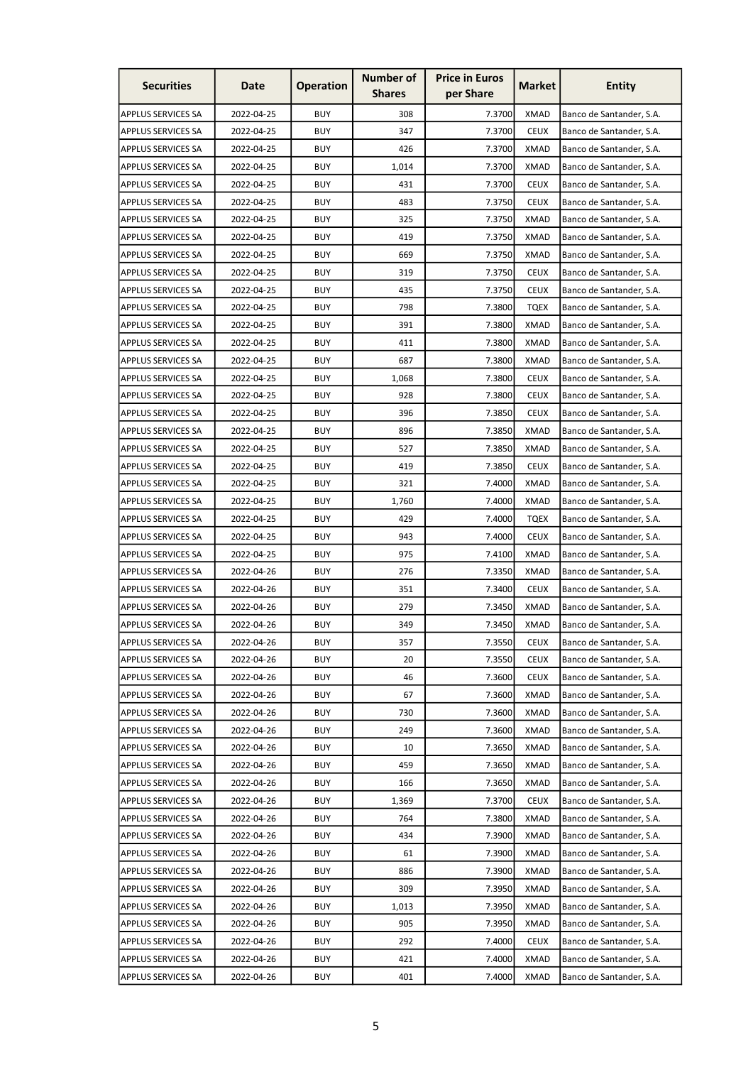| <b>Securities</b>         | Date       | <b>Operation</b> | <b>Number of</b><br><b>Shares</b> | <b>Price in Euros</b><br>per Share | <b>Market</b> | <b>Entity</b>            |
|---------------------------|------------|------------------|-----------------------------------|------------------------------------|---------------|--------------------------|
| <b>APPLUS SERVICES SA</b> | 2022-04-25 | <b>BUY</b>       | 308                               | 7.3700                             | <b>XMAD</b>   | Banco de Santander, S.A. |
| <b>APPLUS SERVICES SA</b> | 2022-04-25 | <b>BUY</b>       | 347                               | 7.3700                             | <b>CEUX</b>   | Banco de Santander, S.A. |
| <b>APPLUS SERVICES SA</b> | 2022-04-25 | <b>BUY</b>       | 426                               | 7.3700                             | <b>XMAD</b>   | Banco de Santander, S.A. |
| <b>APPLUS SERVICES SA</b> | 2022-04-25 | <b>BUY</b>       | 1,014                             | 7.3700                             | <b>XMAD</b>   | Banco de Santander, S.A. |
| <b>APPLUS SERVICES SA</b> | 2022-04-25 | <b>BUY</b>       | 431                               | 7.3700                             | <b>CEUX</b>   | Banco de Santander, S.A. |
| <b>APPLUS SERVICES SA</b> | 2022-04-25 | <b>BUY</b>       | 483                               | 7.3750                             | <b>CEUX</b>   | Banco de Santander, S.A. |
| <b>APPLUS SERVICES SA</b> | 2022-04-25 | <b>BUY</b>       | 325                               | 7.3750                             | <b>XMAD</b>   | Banco de Santander, S.A. |
| <b>APPLUS SERVICES SA</b> | 2022-04-25 | <b>BUY</b>       | 419                               | 7.3750                             | <b>XMAD</b>   | Banco de Santander, S.A. |
| APPLUS SERVICES SA        | 2022-04-25 | <b>BUY</b>       | 669                               | 7.3750                             | <b>XMAD</b>   | Banco de Santander, S.A. |
| <b>APPLUS SERVICES SA</b> | 2022-04-25 | <b>BUY</b>       | 319                               | 7.3750                             | <b>CEUX</b>   | Banco de Santander, S.A. |
| APPLUS SERVICES SA        | 2022-04-25 | <b>BUY</b>       | 435                               | 7.3750                             | <b>CEUX</b>   | Banco de Santander, S.A. |
| APPLUS SERVICES SA        | 2022-04-25 | <b>BUY</b>       | 798                               | 7.3800                             | TQEX          | Banco de Santander, S.A. |
| <b>APPLUS SERVICES SA</b> | 2022-04-25 | <b>BUY</b>       | 391                               | 7.3800                             | <b>XMAD</b>   | Banco de Santander, S.A. |
| APPLUS SERVICES SA        | 2022-04-25 | <b>BUY</b>       | 411                               | 7.3800                             | <b>XMAD</b>   | Banco de Santander, S.A. |
| APPLUS SERVICES SA        | 2022-04-25 | <b>BUY</b>       | 687                               | 7.3800                             | <b>XMAD</b>   | Banco de Santander, S.A. |
| <b>APPLUS SERVICES SA</b> | 2022-04-25 | <b>BUY</b>       | 1,068                             | 7.3800                             | <b>CEUX</b>   | Banco de Santander, S.A. |
| APPLUS SERVICES SA        | 2022-04-25 | <b>BUY</b>       | 928                               | 7.3800                             | <b>CEUX</b>   | Banco de Santander, S.A. |
| APPLUS SERVICES SA        | 2022-04-25 | <b>BUY</b>       | 396                               | 7.3850                             | <b>CEUX</b>   | Banco de Santander, S.A. |
| <b>APPLUS SERVICES SA</b> | 2022-04-25 | <b>BUY</b>       | 896                               | 7.3850                             | <b>XMAD</b>   | Banco de Santander, S.A. |
| APPLUS SERVICES SA        | 2022-04-25 | <b>BUY</b>       | 527                               | 7.3850                             | <b>XMAD</b>   | Banco de Santander, S.A. |
| <b>APPLUS SERVICES SA</b> | 2022-04-25 | <b>BUY</b>       | 419                               | 7.3850                             | <b>CEUX</b>   | Banco de Santander, S.A. |
| APPLUS SERVICES SA        | 2022-04-25 | <b>BUY</b>       | 321                               | 7.4000                             | <b>XMAD</b>   | Banco de Santander, S.A. |
| APPLUS SERVICES SA        | 2022-04-25 | <b>BUY</b>       | 1,760                             | 7.4000                             | <b>XMAD</b>   | Banco de Santander, S.A. |
| APPLUS SERVICES SA        | 2022-04-25 | <b>BUY</b>       | 429                               | 7.4000                             | <b>TQEX</b>   | Banco de Santander, S.A. |
| APPLUS SERVICES SA        | 2022-04-25 | <b>BUY</b>       | 943                               | 7.4000                             | <b>CEUX</b>   | Banco de Santander, S.A. |
| APPLUS SERVICES SA        | 2022-04-25 | <b>BUY</b>       | 975                               | 7.4100                             | XMAD          | Banco de Santander, S.A. |
| <b>APPLUS SERVICES SA</b> | 2022-04-26 | <b>BUY</b>       | 276                               | 7.3350                             | <b>XMAD</b>   | Banco de Santander, S.A. |
| <b>APPLUS SERVICES SA</b> | 2022-04-26 | <b>BUY</b>       | 351                               | 7.3400                             | <b>CEUX</b>   | Banco de Santander, S.A. |
| <b>APPLUS SERVICES SA</b> | 2022-04-26 | <b>BUY</b>       | 279                               | 7.3450                             | <b>XMAD</b>   | Banco de Santander, S.A. |
| <b>APPLUS SERVICES SA</b> | 2022-04-26 | <b>BUY</b>       | 349                               | 7.3450                             | <b>XMAD</b>   | Banco de Santander, S.A. |
| <b>APPLUS SERVICES SA</b> | 2022-04-26 | <b>BUY</b>       | 357                               | 7.3550                             | <b>CEUX</b>   | Banco de Santander, S.A. |
| <b>APPLUS SERVICES SA</b> | 2022-04-26 | <b>BUY</b>       | 20                                | 7.3550                             | <b>CEUX</b>   | Banco de Santander, S.A. |
| <b>APPLUS SERVICES SA</b> | 2022-04-26 | <b>BUY</b>       | 46                                | 7.3600                             | <b>CEUX</b>   | Banco de Santander, S.A. |
| <b>APPLUS SERVICES SA</b> | 2022-04-26 | <b>BUY</b>       | 67                                | 7.3600                             | <b>XMAD</b>   | Banco de Santander, S.A. |
| <b>APPLUS SERVICES SA</b> | 2022-04-26 | <b>BUY</b>       | 730                               | 7.3600                             | <b>XMAD</b>   | Banco de Santander, S.A. |
| <b>APPLUS SERVICES SA</b> | 2022-04-26 | <b>BUY</b>       | 249                               | 7.3600                             | <b>XMAD</b>   | Banco de Santander, S.A. |
| <b>APPLUS SERVICES SA</b> | 2022-04-26 | <b>BUY</b>       | 10                                | 7.3650                             | <b>XMAD</b>   | Banco de Santander, S.A. |
| <b>APPLUS SERVICES SA</b> | 2022-04-26 | <b>BUY</b>       | 459                               | 7.3650                             | <b>XMAD</b>   | Banco de Santander, S.A. |
| APPLUS SERVICES SA        | 2022-04-26 | <b>BUY</b>       | 166                               | 7.3650                             | <b>XMAD</b>   | Banco de Santander, S.A. |
| APPLUS SERVICES SA        | 2022-04-26 | <b>BUY</b>       | 1,369                             | 7.3700                             | <b>CEUX</b>   | Banco de Santander, S.A. |
| <b>APPLUS SERVICES SA</b> | 2022-04-26 | <b>BUY</b>       | 764                               | 7.3800                             | <b>XMAD</b>   | Banco de Santander, S.A. |
| <b>APPLUS SERVICES SA</b> | 2022-04-26 | <b>BUY</b>       | 434                               | 7.3900                             | XMAD          | Banco de Santander, S.A. |
| <b>APPLUS SERVICES SA</b> | 2022-04-26 | <b>BUY</b>       | 61                                | 7.3900                             | <b>XMAD</b>   | Banco de Santander, S.A. |
| <b>APPLUS SERVICES SA</b> | 2022-04-26 | <b>BUY</b>       | 886                               | 7.3900                             | <b>XMAD</b>   | Banco de Santander, S.A. |
| <b>APPLUS SERVICES SA</b> | 2022-04-26 | <b>BUY</b>       | 309                               | 7.3950                             | <b>XMAD</b>   | Banco de Santander, S.A. |
| <b>APPLUS SERVICES SA</b> | 2022-04-26 | <b>BUY</b>       | 1,013                             | 7.3950                             | <b>XMAD</b>   | Banco de Santander, S.A. |
| <b>APPLUS SERVICES SA</b> | 2022-04-26 | <b>BUY</b>       | 905                               | 7.3950                             | XMAD          | Banco de Santander, S.A. |
| <b>APPLUS SERVICES SA</b> | 2022-04-26 | <b>BUY</b>       | 292                               | 7.4000                             | <b>CEUX</b>   | Banco de Santander, S.A. |
| <b>APPLUS SERVICES SA</b> | 2022-04-26 | <b>BUY</b>       | 421                               | 7.4000                             | <b>XMAD</b>   | Banco de Santander, S.A. |
| <b>APPLUS SERVICES SA</b> | 2022-04-26 | <b>BUY</b>       | 401                               | 7.4000                             | <b>XMAD</b>   | Banco de Santander, S.A. |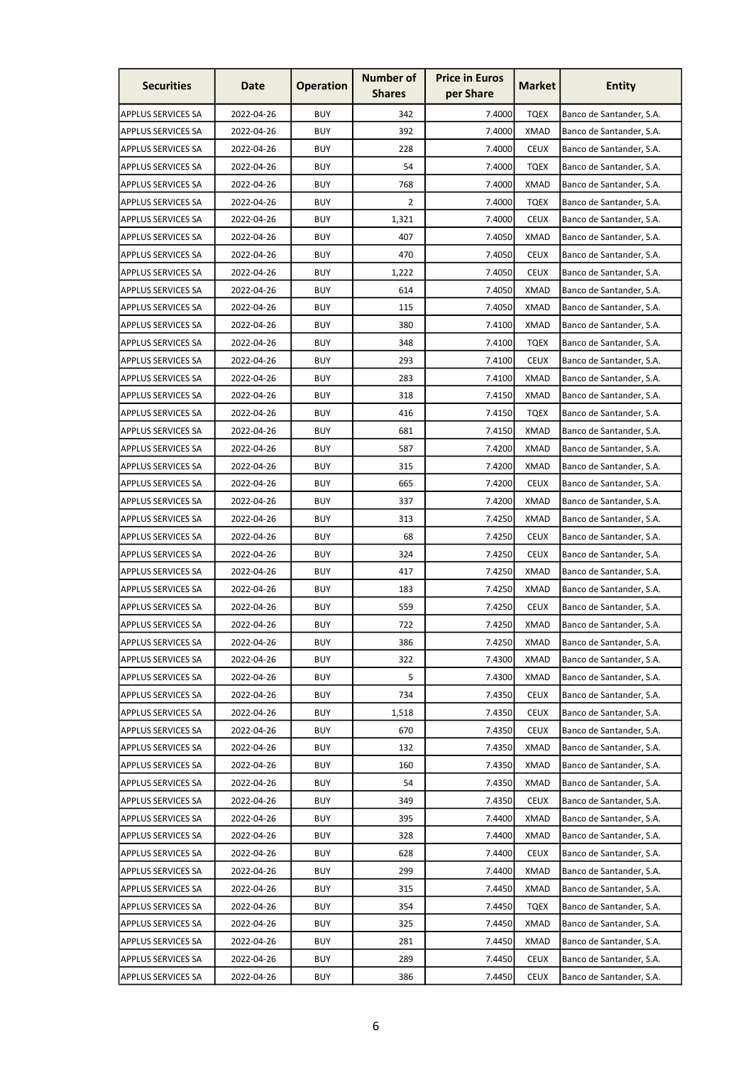| <b>Securities</b>         | Date       | <b>Operation</b> | <b>Number of</b><br><b>Shares</b> | <b>Price in Euros</b><br>per Share | <b>Market</b> | <b>Entity</b>            |
|---------------------------|------------|------------------|-----------------------------------|------------------------------------|---------------|--------------------------|
| <b>APPLUS SERVICES SA</b> | 2022-04-26 | <b>BUY</b>       | 342                               | 7.4000                             | <b>TQEX</b>   | Banco de Santander, S.A. |
| <b>APPLUS SERVICES SA</b> | 2022-04-26 | <b>BUY</b>       | 392                               | 7.4000                             | <b>XMAD</b>   | Banco de Santander, S.A. |
| <b>APPLUS SERVICES SA</b> | 2022-04-26 | <b>BUY</b>       | 228                               | 7.4000                             | <b>CEUX</b>   | Banco de Santander, S.A. |
| <b>APPLUS SERVICES SA</b> | 2022-04-26 | <b>BUY</b>       | 54                                | 7.4000                             | <b>TQEX</b>   | Banco de Santander, S.A. |
| <b>APPLUS SERVICES SA</b> | 2022-04-26 | <b>BUY</b>       | 768                               | 7.4000                             | <b>XMAD</b>   | Banco de Santander, S.A. |
| APPLUS SERVICES SA        | 2022-04-26 | <b>BUY</b>       | 2                                 | 7.4000                             | <b>TQEX</b>   | Banco de Santander, S.A. |
| <b>APPLUS SERVICES SA</b> | 2022-04-26 | <b>BUY</b>       | 1,321                             | 7.4000                             | <b>CEUX</b>   | Banco de Santander, S.A. |
| <b>APPLUS SERVICES SA</b> | 2022-04-26 | <b>BUY</b>       | 407                               | 7.4050                             | <b>XMAD</b>   | Banco de Santander, S.A. |
| APPLUS SERVICES SA        | 2022-04-26 | <b>BUY</b>       | 470                               | 7.4050                             | <b>CEUX</b>   | Banco de Santander, S.A. |
| <b>APPLUS SERVICES SA</b> | 2022-04-26 | <b>BUY</b>       | 1,222                             | 7.4050                             | <b>CEUX</b>   | Banco de Santander, S.A. |
| APPLUS SERVICES SA        | 2022-04-26 | <b>BUY</b>       | 614                               | 7.4050                             | XMAD          | Banco de Santander, S.A. |
| APPLUS SERVICES SA        | 2022-04-26 | <b>BUY</b>       | 115                               | 7.4050                             | <b>XMAD</b>   | Banco de Santander, S.A. |
| <b>APPLUS SERVICES SA</b> | 2022-04-26 | <b>BUY</b>       | 380                               | 7.4100                             | <b>XMAD</b>   | Banco de Santander, S.A. |
| APPLUS SERVICES SA        | 2022-04-26 | <b>BUY</b>       | 348                               | 7.4100                             | <b>TQEX</b>   | Banco de Santander, S.A. |
| APPLUS SERVICES SA        | 2022-04-26 | <b>BUY</b>       | 293                               | 7.4100                             | <b>CEUX</b>   | Banco de Santander, S.A. |
| <b>APPLUS SERVICES SA</b> | 2022-04-26 | <b>BUY</b>       | 283                               | 7.4100                             | <b>XMAD</b>   | Banco de Santander, S.A. |
| APPLUS SERVICES SA        | 2022-04-26 | <b>BUY</b>       | 318                               | 7.4150                             | <b>XMAD</b>   | Banco de Santander, S.A. |
| APPLUS SERVICES SA        | 2022-04-26 | <b>BUY</b>       | 416                               | 7.4150                             | <b>TQEX</b>   | Banco de Santander, S.A. |
| <b>APPLUS SERVICES SA</b> | 2022-04-26 | <b>BUY</b>       | 681                               | 7.4150                             | XMAD          | Banco de Santander, S.A. |
| APPLUS SERVICES SA        | 2022-04-26 | <b>BUY</b>       | 587                               | 7.4200                             | XMAD          | Banco de Santander, S.A. |
| APPLUS SERVICES SA        | 2022-04-26 | <b>BUY</b>       | 315                               | 7.4200                             | <b>XMAD</b>   | Banco de Santander, S.A. |
| APPLUS SERVICES SA        | 2022-04-26 | <b>BUY</b>       | 665                               | 7.4200                             | <b>CEUX</b>   | Banco de Santander, S.A. |
| APPLUS SERVICES SA        | 2022-04-26 | <b>BUY</b>       | 337                               | 7.4200                             | <b>XMAD</b>   | Banco de Santander, S.A. |
| APPLUS SERVICES SA        | 2022-04-26 | <b>BUY</b>       | 313                               | 7.4250                             | <b>XMAD</b>   | Banco de Santander, S.A. |
| APPLUS SERVICES SA        | 2022-04-26 | <b>BUY</b>       | 68                                | 7.4250                             | <b>CEUX</b>   | Banco de Santander, S.A. |
| APPLUS SERVICES SA        | 2022-04-26 | <b>BUY</b>       | 324                               | 7.4250                             | <b>CEUX</b>   | Banco de Santander, S.A. |
| <b>APPLUS SERVICES SA</b> | 2022-04-26 | <b>BUY</b>       | 417                               | 7.4250                             | <b>XMAD</b>   | Banco de Santander, S.A. |
| <b>APPLUS SERVICES SA</b> | 2022-04-26 | <b>BUY</b>       | 183                               | 7.4250                             | <b>XMAD</b>   | Banco de Santander, S.A. |
| <b>APPLUS SERVICES SA</b> | 2022-04-26 | <b>BUY</b>       | 559                               | 7.4250                             | <b>CEUX</b>   | Banco de Santander, S.A. |
| <b>APPLUS SERVICES SA</b> | 2022-04-26 | <b>BUY</b>       | 722                               | 7.4250                             | <b>XMAD</b>   | Banco de Santander, S.A. |
| <b>APPLUS SERVICES SA</b> | 2022-04-26 | <b>BUY</b>       | 386                               | 7.4250                             | XMAD          | Banco de Santander, S.A. |
| <b>APPLUS SERVICES SA</b> | 2022-04-26 | <b>BUY</b>       | 322                               | 7.4300                             | XMAD          | Banco de Santander, S.A. |
| <b>APPLUS SERVICES SA</b> | 2022-04-26 | <b>BUY</b>       | 5                                 | 7.4300                             | XMAD          | Banco de Santander, S.A. |
| <b>APPLUS SERVICES SA</b> | 2022-04-26 | <b>BUY</b>       | 734                               | 7.4350                             | <b>CEUX</b>   | Banco de Santander, S.A. |
| <b>APPLUS SERVICES SA</b> | 2022-04-26 | <b>BUY</b>       | 1,518                             | 7.4350                             | <b>CEUX</b>   | Banco de Santander, S.A. |
| <b>APPLUS SERVICES SA</b> | 2022-04-26 | <b>BUY</b>       | 670                               | 7.4350                             | <b>CEUX</b>   | Banco de Santander, S.A. |
| <b>APPLUS SERVICES SA</b> | 2022-04-26 | <b>BUY</b>       | 132                               | 7.4350                             | XMAD          | Banco de Santander, S.A. |
| <b>APPLUS SERVICES SA</b> | 2022-04-26 | <b>BUY</b>       | 160                               | 7.4350                             | XMAD          | Banco de Santander, S.A. |
| APPLUS SERVICES SA        | 2022-04-26 | <b>BUY</b>       | 54                                | 7.4350                             | XMAD          | Banco de Santander, S.A. |
| APPLUS SERVICES SA        | 2022-04-26 | <b>BUY</b>       | 349                               | 7.4350                             | <b>CEUX</b>   | Banco de Santander, S.A. |
| <b>APPLUS SERVICES SA</b> | 2022-04-26 | <b>BUY</b>       | 395                               | 7.4400                             | XMAD          | Banco de Santander, S.A. |
| <b>APPLUS SERVICES SA</b> | 2022-04-26 | <b>BUY</b>       | 328                               | 7.4400                             | XMAD          | Banco de Santander, S.A. |
| <b>APPLUS SERVICES SA</b> | 2022-04-26 | <b>BUY</b>       | 628                               | 7.4400                             | <b>CEUX</b>   | Banco de Santander, S.A. |
| <b>APPLUS SERVICES SA</b> | 2022-04-26 | <b>BUY</b>       | 299                               | 7.4400                             | XMAD          | Banco de Santander, S.A. |
| <b>APPLUS SERVICES SA</b> | 2022-04-26 | <b>BUY</b>       | 315                               | 7.4450                             | XMAD          | Banco de Santander, S.A. |
| <b>APPLUS SERVICES SA</b> | 2022-04-26 | <b>BUY</b>       | 354                               | 7.4450                             | <b>TQEX</b>   | Banco de Santander, S.A. |
| <b>APPLUS SERVICES SA</b> | 2022-04-26 | <b>BUY</b>       | 325                               | 7.4450                             | XMAD          | Banco de Santander, S.A. |
| APPLUS SERVICES SA        | 2022-04-26 | <b>BUY</b>       | 281                               | 7.4450                             | XMAD          | Banco de Santander, S.A. |
| <b>APPLUS SERVICES SA</b> | 2022-04-26 | <b>BUY</b>       | 289                               | 7.4450                             | <b>CEUX</b>   | Banco de Santander, S.A. |
| <b>APPLUS SERVICES SA</b> | 2022-04-26 | <b>BUY</b>       | 386                               | 7.4450                             | <b>CEUX</b>   | Banco de Santander, S.A. |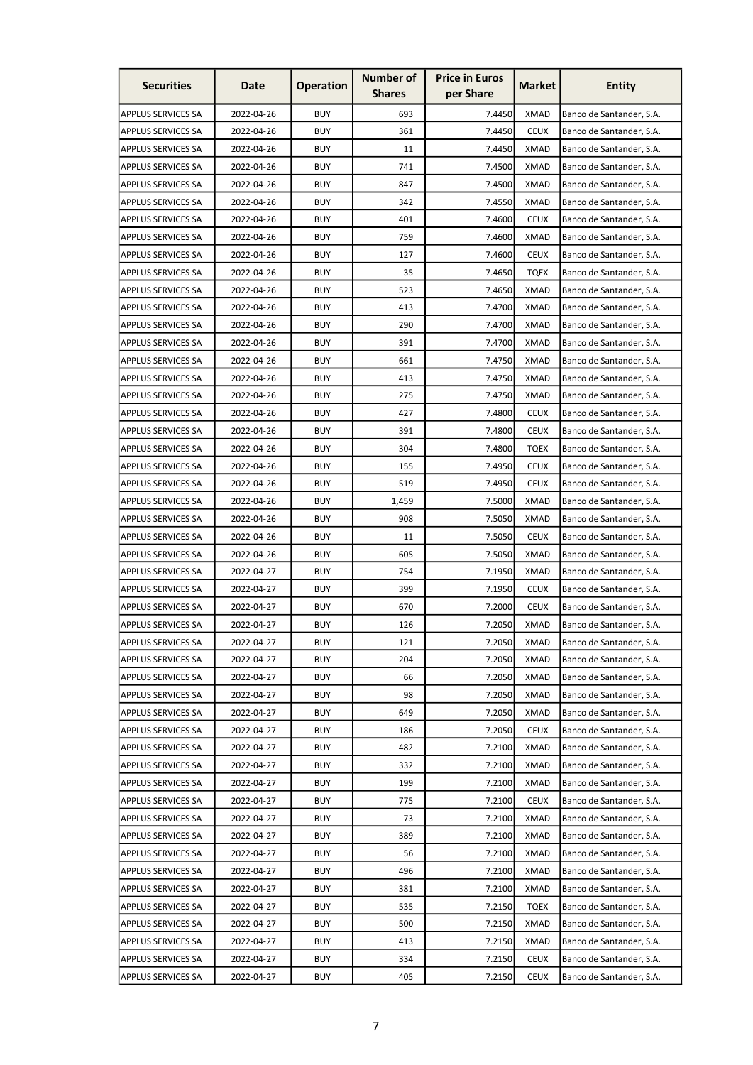| <b>Securities</b>         | Date       | <b>Operation</b> | <b>Number of</b><br><b>Shares</b> | <b>Price in Euros</b><br>per Share | <b>Market</b> | <b>Entity</b>            |
|---------------------------|------------|------------------|-----------------------------------|------------------------------------|---------------|--------------------------|
| <b>APPLUS SERVICES SA</b> | 2022-04-26 | <b>BUY</b>       | 693                               | 7.4450                             | XMAD          | Banco de Santander, S.A. |
| <b>APPLUS SERVICES SA</b> | 2022-04-26 | <b>BUY</b>       | 361                               | 7.4450                             | <b>CEUX</b>   | Banco de Santander, S.A. |
| <b>APPLUS SERVICES SA</b> | 2022-04-26 | <b>BUY</b>       | 11                                | 7.4450                             | <b>XMAD</b>   | Banco de Santander, S.A. |
| <b>APPLUS SERVICES SA</b> | 2022-04-26 | <b>BUY</b>       | 741                               | 7.4500                             | XMAD          | Banco de Santander, S.A. |
| <b>APPLUS SERVICES SA</b> | 2022-04-26 | <b>BUY</b>       | 847                               | 7.4500                             | <b>XMAD</b>   | Banco de Santander, S.A. |
| APPLUS SERVICES SA        | 2022-04-26 | <b>BUY</b>       | 342                               | 7.4550                             | <b>XMAD</b>   | Banco de Santander, S.A. |
| <b>APPLUS SERVICES SA</b> | 2022-04-26 | <b>BUY</b>       | 401                               | 7.4600                             | <b>CEUX</b>   | Banco de Santander, S.A. |
| <b>APPLUS SERVICES SA</b> | 2022-04-26 | <b>BUY</b>       | 759                               | 7.4600                             | <b>XMAD</b>   | Banco de Santander, S.A. |
| APPLUS SERVICES SA        | 2022-04-26 | <b>BUY</b>       | 127                               | 7.4600                             | <b>CEUX</b>   | Banco de Santander, S.A. |
| <b>APPLUS SERVICES SA</b> | 2022-04-26 | <b>BUY</b>       | 35                                | 7.4650                             | <b>TQEX</b>   | Banco de Santander, S.A. |
| APPLUS SERVICES SA        | 2022-04-26 | <b>BUY</b>       | 523                               | 7.4650                             | XMAD          | Banco de Santander, S.A. |
| APPLUS SERVICES SA        | 2022-04-26 | <b>BUY</b>       | 413                               | 7.4700                             | <b>XMAD</b>   | Banco de Santander, S.A. |
| <b>APPLUS SERVICES SA</b> | 2022-04-26 | <b>BUY</b>       | 290                               | 7.4700                             | <b>XMAD</b>   | Banco de Santander, S.A. |
| APPLUS SERVICES SA        | 2022-04-26 | <b>BUY</b>       | 391                               | 7.4700                             | <b>XMAD</b>   | Banco de Santander, S.A. |
| APPLUS SERVICES SA        | 2022-04-26 | <b>BUY</b>       | 661                               | 7.4750                             | <b>XMAD</b>   | Banco de Santander, S.A. |
| <b>APPLUS SERVICES SA</b> | 2022-04-26 | <b>BUY</b>       | 413                               | 7.4750                             | <b>XMAD</b>   | Banco de Santander, S.A. |
| APPLUS SERVICES SA        | 2022-04-26 | <b>BUY</b>       | 275                               | 7.4750                             | <b>XMAD</b>   | Banco de Santander, S.A. |
| APPLUS SERVICES SA        | 2022-04-26 | <b>BUY</b>       | 427                               | 7.4800                             | <b>CEUX</b>   | Banco de Santander, S.A. |
| <b>APPLUS SERVICES SA</b> | 2022-04-26 | <b>BUY</b>       | 391                               | 7.4800                             | <b>CEUX</b>   | Banco de Santander, S.A. |
| APPLUS SERVICES SA        | 2022-04-26 | <b>BUY</b>       | 304                               | 7.4800                             | <b>TQEX</b>   | Banco de Santander, S.A. |
| APPLUS SERVICES SA        | 2022-04-26 | <b>BUY</b>       | 155                               | 7.4950                             | <b>CEUX</b>   | Banco de Santander, S.A. |
| APPLUS SERVICES SA        | 2022-04-26 | <b>BUY</b>       | 519                               | 7.4950                             | <b>CEUX</b>   | Banco de Santander, S.A. |
| APPLUS SERVICES SA        | 2022-04-26 | <b>BUY</b>       | 1,459                             | 7.5000                             | <b>XMAD</b>   | Banco de Santander, S.A. |
| APPLUS SERVICES SA        | 2022-04-26 | <b>BUY</b>       | 908                               | 7.5050                             | <b>XMAD</b>   | Banco de Santander, S.A. |
| APPLUS SERVICES SA        | 2022-04-26 | <b>BUY</b>       | 11                                | 7.5050                             | <b>CEUX</b>   | Banco de Santander, S.A. |
| APPLUS SERVICES SA        | 2022-04-26 | <b>BUY</b>       | 605                               | 7.5050                             | XMAD          | Banco de Santander, S.A. |
| <b>APPLUS SERVICES SA</b> | 2022-04-27 | <b>BUY</b>       | 754                               | 7.1950                             | <b>XMAD</b>   | Banco de Santander, S.A. |
| <b>APPLUS SERVICES SA</b> | 2022-04-27 | <b>BUY</b>       | 399                               | 7.1950                             | <b>CEUX</b>   | Banco de Santander, S.A. |
| <b>APPLUS SERVICES SA</b> | 2022-04-27 | <b>BUY</b>       | 670                               | 7.2000                             | <b>CEUX</b>   | Banco de Santander, S.A. |
| <b>APPLUS SERVICES SA</b> | 2022-04-27 | <b>BUY</b>       | 126                               | 7.2050                             | <b>XMAD</b>   | Banco de Santander, S.A. |
| <b>APPLUS SERVICES SA</b> | 2022-04-27 | <b>BUY</b>       | 121                               | 7.2050                             | XMAD          | Banco de Santander, S.A. |
| <b>APPLUS SERVICES SA</b> | 2022-04-27 | <b>BUY</b>       | 204                               | 7.2050                             | XMAD          | Banco de Santander, S.A. |
| <b>APPLUS SERVICES SA</b> | 2022-04-27 | <b>BUY</b>       | 66                                | 7.2050                             | XMAD          | Banco de Santander, S.A. |
| <b>APPLUS SERVICES SA</b> | 2022-04-27 | <b>BUY</b>       | 98                                | 7.2050                             | XMAD          | Banco de Santander, S.A. |
| <b>APPLUS SERVICES SA</b> | 2022-04-27 | <b>BUY</b>       | 649                               | 7.2050                             | XMAD          | Banco de Santander, S.A. |
| <b>APPLUS SERVICES SA</b> | 2022-04-27 | <b>BUY</b>       | 186                               | 7.2050                             | <b>CEUX</b>   | Banco de Santander, S.A. |
| <b>APPLUS SERVICES SA</b> | 2022-04-27 | <b>BUY</b>       | 482                               | 7.2100                             | XMAD          | Banco de Santander, S.A. |
| <b>APPLUS SERVICES SA</b> | 2022-04-27 | <b>BUY</b>       | 332                               | 7.2100                             | XMAD          | Banco de Santander, S.A. |
| <b>APPLUS SERVICES SA</b> | 2022-04-27 | <b>BUY</b>       | 199                               | 7.2100                             | XMAD          | Banco de Santander, S.A. |
| APPLUS SERVICES SA        | 2022-04-27 | <b>BUY</b>       | 775                               | 7.2100                             | <b>CEUX</b>   | Banco de Santander, S.A. |
| <b>APPLUS SERVICES SA</b> | 2022-04-27 | <b>BUY</b>       | 73                                | 7.2100                             | XMAD          | Banco de Santander, S.A. |
| <b>APPLUS SERVICES SA</b> | 2022-04-27 | <b>BUY</b>       | 389                               | 7.2100                             | XMAD          | Banco de Santander, S.A. |
| <b>APPLUS SERVICES SA</b> | 2022-04-27 | <b>BUY</b>       | 56                                | 7.2100                             | XMAD          | Banco de Santander, S.A. |
| APPLUS SERVICES SA        | 2022-04-27 | <b>BUY</b>       | 496                               | 7.2100                             | XMAD          | Banco de Santander, S.A. |
| <b>APPLUS SERVICES SA</b> | 2022-04-27 | <b>BUY</b>       | 381                               | 7.2100                             | XMAD          | Banco de Santander, S.A. |
| <b>APPLUS SERVICES SA</b> | 2022-04-27 | <b>BUY</b>       | 535                               | 7.2150                             | <b>TQEX</b>   | Banco de Santander, S.A. |
| APPLUS SERVICES SA        | 2022-04-27 | <b>BUY</b>       | 500                               | 7.2150                             | XMAD          | Banco de Santander, S.A. |
| APPLUS SERVICES SA        | 2022-04-27 | <b>BUY</b>       | 413                               | 7.2150                             | XMAD          | Banco de Santander, S.A. |
| <b>APPLUS SERVICES SA</b> | 2022-04-27 | <b>BUY</b>       | 334                               | 7.2150                             | <b>CEUX</b>   | Banco de Santander, S.A. |
| <b>APPLUS SERVICES SA</b> | 2022-04-27 | <b>BUY</b>       | 405                               | 7.2150                             | <b>CEUX</b>   | Banco de Santander, S.A. |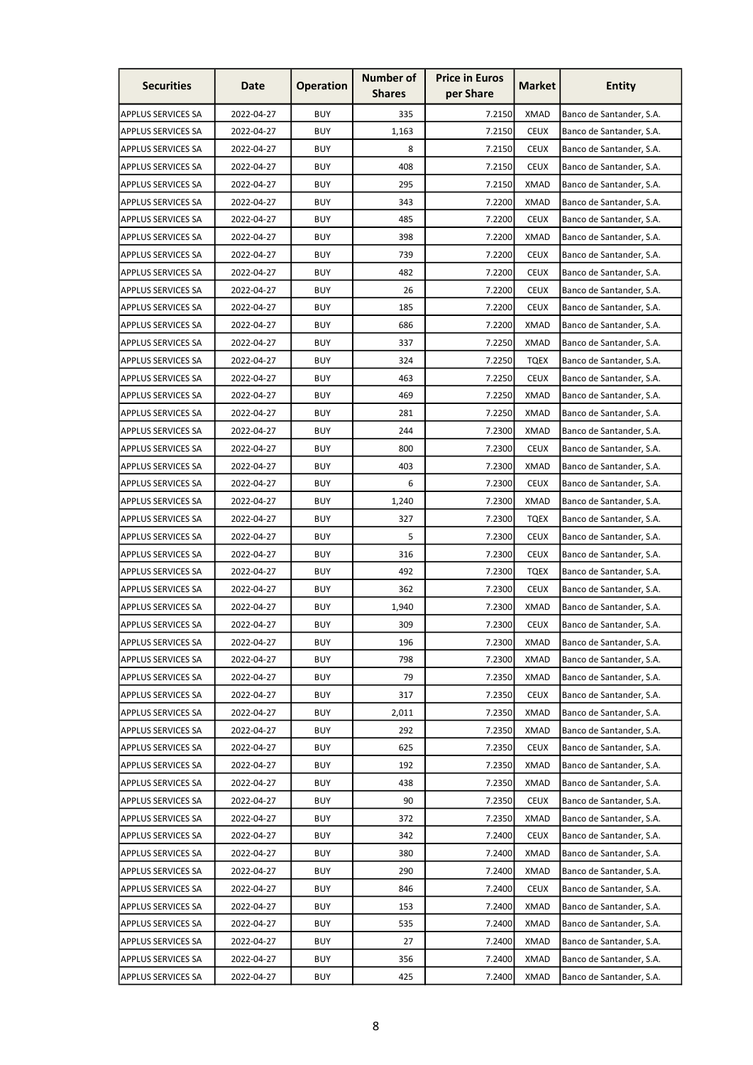| <b>Securities</b>         | Date       | <b>Operation</b> | <b>Number of</b><br><b>Shares</b> | <b>Price in Euros</b><br>per Share | <b>Market</b> | <b>Entity</b>            |
|---------------------------|------------|------------------|-----------------------------------|------------------------------------|---------------|--------------------------|
| <b>APPLUS SERVICES SA</b> | 2022-04-27 | <b>BUY</b>       | 335                               | 7.2150                             | <b>XMAD</b>   | Banco de Santander, S.A. |
| <b>APPLUS SERVICES SA</b> | 2022-04-27 | <b>BUY</b>       | 1,163                             | 7.2150                             | <b>CEUX</b>   | Banco de Santander, S.A. |
| <b>APPLUS SERVICES SA</b> | 2022-04-27 | <b>BUY</b>       | 8                                 | 7.2150                             | <b>CEUX</b>   | Banco de Santander, S.A. |
| <b>APPLUS SERVICES SA</b> | 2022-04-27 | <b>BUY</b>       | 408                               | 7.2150                             | <b>CEUX</b>   | Banco de Santander, S.A. |
| <b>APPLUS SERVICES SA</b> | 2022-04-27 | <b>BUY</b>       | 295                               | 7.2150                             | <b>XMAD</b>   | Banco de Santander, S.A. |
| <b>APPLUS SERVICES SA</b> | 2022-04-27 | <b>BUY</b>       | 343                               | 7.2200                             | <b>XMAD</b>   | Banco de Santander, S.A. |
| <b>APPLUS SERVICES SA</b> | 2022-04-27 | <b>BUY</b>       | 485                               | 7.2200                             | <b>CEUX</b>   | Banco de Santander, S.A. |
| <b>APPLUS SERVICES SA</b> | 2022-04-27 | <b>BUY</b>       | 398                               | 7.2200                             | <b>XMAD</b>   | Banco de Santander, S.A. |
| APPLUS SERVICES SA        | 2022-04-27 | <b>BUY</b>       | 739                               | 7.2200                             | <b>CEUX</b>   | Banco de Santander, S.A. |
| <b>APPLUS SERVICES SA</b> | 2022-04-27 | <b>BUY</b>       | 482                               | 7.2200                             | <b>CEUX</b>   | Banco de Santander, S.A. |
| APPLUS SERVICES SA        | 2022-04-27 | <b>BUY</b>       | 26                                | 7.2200                             | <b>CEUX</b>   | Banco de Santander, S.A. |
| APPLUS SERVICES SA        | 2022-04-27 | <b>BUY</b>       | 185                               | 7.2200                             | <b>CEUX</b>   | Banco de Santander, S.A. |
| <b>APPLUS SERVICES SA</b> | 2022-04-27 | <b>BUY</b>       | 686                               | 7.2200                             | XMAD          | Banco de Santander, S.A. |
| APPLUS SERVICES SA        | 2022-04-27 | <b>BUY</b>       | 337                               | 7.2250                             | <b>XMAD</b>   | Banco de Santander, S.A. |
| APPLUS SERVICES SA        | 2022-04-27 | <b>BUY</b>       | 324                               | 7.2250                             | <b>TQEX</b>   | Banco de Santander, S.A. |
| <b>APPLUS SERVICES SA</b> | 2022-04-27 | <b>BUY</b>       | 463                               | 7.2250                             | <b>CEUX</b>   | Banco de Santander, S.A. |
| APPLUS SERVICES SA        | 2022-04-27 | <b>BUY</b>       | 469                               | 7.2250                             | <b>XMAD</b>   | Banco de Santander, S.A. |
| APPLUS SERVICES SA        | 2022-04-27 | <b>BUY</b>       | 281                               | 7.2250                             | <b>XMAD</b>   | Banco de Santander, S.A. |
| <b>APPLUS SERVICES SA</b> | 2022-04-27 | <b>BUY</b>       | 244                               | 7.2300                             | XMAD          | Banco de Santander, S.A. |
| APPLUS SERVICES SA        | 2022-04-27 | <b>BUY</b>       | 800                               | 7.2300                             | <b>CEUX</b>   | Banco de Santander, S.A. |
| APPLUS SERVICES SA        | 2022-04-27 | <b>BUY</b>       | 403                               | 7.2300                             | <b>XMAD</b>   | Banco de Santander, S.A. |
| APPLUS SERVICES SA        | 2022-04-27 | <b>BUY</b>       | 6                                 | 7.2300                             | <b>CEUX</b>   | Banco de Santander, S.A. |
| APPLUS SERVICES SA        | 2022-04-27 | <b>BUY</b>       | 1,240                             | 7.2300                             | <b>XMAD</b>   | Banco de Santander, S.A. |
| APPLUS SERVICES SA        | 2022-04-27 | <b>BUY</b>       | 327                               | 7.2300                             | <b>TQEX</b>   | Banco de Santander, S.A. |
| APPLUS SERVICES SA        | 2022-04-27 | <b>BUY</b>       | 5                                 | 7.2300                             | <b>CEUX</b>   | Banco de Santander, S.A. |
| APPLUS SERVICES SA        | 2022-04-27 | <b>BUY</b>       | 316                               | 7.2300                             | <b>CEUX</b>   | Banco de Santander, S.A. |
| <b>APPLUS SERVICES SA</b> | 2022-04-27 | <b>BUY</b>       | 492                               | 7.2300                             | <b>TQEX</b>   | Banco de Santander, S.A. |
| <b>APPLUS SERVICES SA</b> | 2022-04-27 | <b>BUY</b>       | 362                               | 7.2300                             | <b>CEUX</b>   | Banco de Santander, S.A. |
| <b>APPLUS SERVICES SA</b> | 2022-04-27 | <b>BUY</b>       | 1,940                             | 7.2300                             | <b>XMAD</b>   | Banco de Santander, S.A. |
| <b>APPLUS SERVICES SA</b> | 2022-04-27 | <b>BUY</b>       | 309                               | 7.2300                             | <b>CEUX</b>   | Banco de Santander, S.A. |
| <b>APPLUS SERVICES SA</b> | 2022-04-27 | <b>BUY</b>       | 196                               | 7.2300                             | <b>XMAD</b>   | Banco de Santander, S.A. |
| <b>APPLUS SERVICES SA</b> | 2022-04-27 | <b>BUY</b>       | 798                               | 7.2300                             | <b>XMAD</b>   | Banco de Santander, S.A. |
| <b>APPLUS SERVICES SA</b> | 2022-04-27 | <b>BUY</b>       | 79                                | 7.2350                             | <b>XMAD</b>   | Banco de Santander, S.A. |
| <b>APPLUS SERVICES SA</b> | 2022-04-27 | <b>BUY</b>       | 317                               | 7.2350                             | <b>CEUX</b>   | Banco de Santander, S.A. |
| <b>APPLUS SERVICES SA</b> | 2022-04-27 | <b>BUY</b>       | 2,011                             | 7.2350                             | <b>XMAD</b>   | Banco de Santander, S.A. |
| <b>APPLUS SERVICES SA</b> | 2022-04-27 | <b>BUY</b>       | 292                               | 7.2350                             | <b>XMAD</b>   | Banco de Santander, S.A. |
| <b>APPLUS SERVICES SA</b> | 2022-04-27 | <b>BUY</b>       | 625                               | 7.2350                             | <b>CEUX</b>   | Banco de Santander, S.A. |
| <b>APPLUS SERVICES SA</b> | 2022-04-27 | <b>BUY</b>       | 192                               | 7.2350                             | <b>XMAD</b>   | Banco de Santander, S.A. |
| APPLUS SERVICES SA        | 2022-04-27 | <b>BUY</b>       | 438                               | 7.2350                             | <b>XMAD</b>   | Banco de Santander, S.A. |
| APPLUS SERVICES SA        | 2022-04-27 | <b>BUY</b>       | 90                                | 7.2350                             | <b>CEUX</b>   | Banco de Santander, S.A. |
| <b>APPLUS SERVICES SA</b> | 2022-04-27 | <b>BUY</b>       | 372                               | 7.2350                             | <b>XMAD</b>   | Banco de Santander, S.A. |
| <b>APPLUS SERVICES SA</b> | 2022-04-27 | <b>BUY</b>       | 342                               | 7.2400                             | <b>CEUX</b>   | Banco de Santander, S.A. |
| <b>APPLUS SERVICES SA</b> | 2022-04-27 | <b>BUY</b>       | 380                               | 7.2400                             | <b>XMAD</b>   | Banco de Santander, S.A. |
| <b>APPLUS SERVICES SA</b> | 2022-04-27 | <b>BUY</b>       | 290                               | 7.2400                             | <b>XMAD</b>   | Banco de Santander, S.A. |
| <b>APPLUS SERVICES SA</b> | 2022-04-27 | <b>BUY</b>       | 846                               | 7.2400                             | <b>CEUX</b>   | Banco de Santander, S.A. |
| <b>APPLUS SERVICES SA</b> | 2022-04-27 | <b>BUY</b>       | 153                               | 7.2400                             | <b>XMAD</b>   | Banco de Santander, S.A. |
| <b>APPLUS SERVICES SA</b> | 2022-04-27 | <b>BUY</b>       | 535                               | 7.2400                             | <b>XMAD</b>   | Banco de Santander, S.A. |
| APPLUS SERVICES SA        | 2022-04-27 | <b>BUY</b>       | 27                                | 7.2400                             | <b>XMAD</b>   | Banco de Santander, S.A. |
| <b>APPLUS SERVICES SA</b> | 2022-04-27 | <b>BUY</b>       | 356                               | 7.2400                             | <b>XMAD</b>   | Banco de Santander, S.A. |
| <b>APPLUS SERVICES SA</b> | 2022-04-27 | <b>BUY</b>       | 425                               | 7.2400                             | <b>XMAD</b>   | Banco de Santander, S.A. |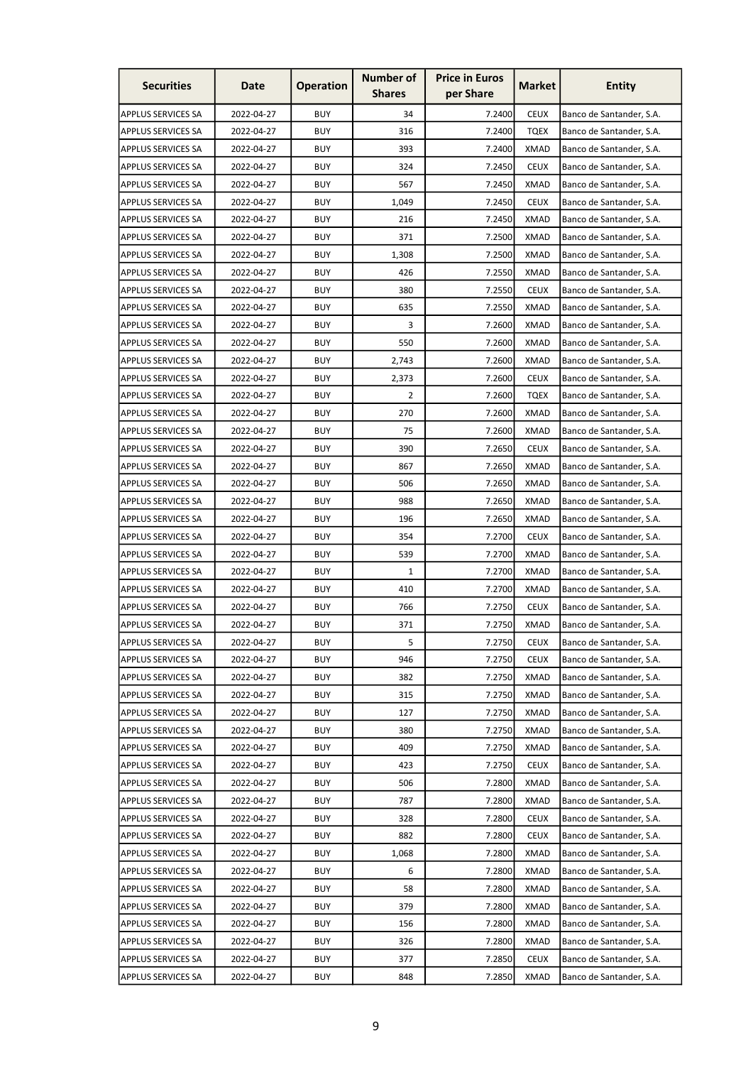| <b>Securities</b>         | Date       | <b>Operation</b> | <b>Number of</b><br><b>Shares</b> | <b>Price in Euros</b><br>per Share | Market      | <b>Entity</b>            |
|---------------------------|------------|------------------|-----------------------------------|------------------------------------|-------------|--------------------------|
| <b>APPLUS SERVICES SA</b> | 2022-04-27 | <b>BUY</b>       | 34                                | 7.2400                             | <b>CEUX</b> | Banco de Santander, S.A. |
| <b>APPLUS SERVICES SA</b> | 2022-04-27 | <b>BUY</b>       | 316                               | 7.2400                             | <b>TQEX</b> | Banco de Santander, S.A. |
| APPLUS SERVICES SA        | 2022-04-27 | <b>BUY</b>       | 393                               | 7.2400                             | <b>XMAD</b> | Banco de Santander, S.A. |
| <b>APPLUS SERVICES SA</b> | 2022-04-27 | <b>BUY</b>       | 324                               | 7.2450                             | <b>CEUX</b> | Banco de Santander, S.A. |
| <b>APPLUS SERVICES SA</b> | 2022-04-27 | <b>BUY</b>       | 567                               | 7.2450                             | <b>XMAD</b> | Banco de Santander, S.A. |
| APPLUS SERVICES SA        | 2022-04-27 | <b>BUY</b>       | 1,049                             | 7.2450                             | <b>CEUX</b> | Banco de Santander, S.A. |
| <b>APPLUS SERVICES SA</b> | 2022-04-27 | <b>BUY</b>       | 216                               | 7.2450                             | XMAD        | Banco de Santander, S.A. |
| APPLUS SERVICES SA        | 2022-04-27 | <b>BUY</b>       | 371                               | 7.2500                             | <b>XMAD</b> | Banco de Santander, S.A. |
| APPLUS SERVICES SA        | 2022-04-27 | <b>BUY</b>       | 1,308                             | 7.2500                             | <b>XMAD</b> | Banco de Santander, S.A. |
| <b>APPLUS SERVICES SA</b> | 2022-04-27 | <b>BUY</b>       | 426                               | 7.2550                             | <b>XMAD</b> | Banco de Santander, S.A. |
| APPLUS SERVICES SA        | 2022-04-27 | <b>BUY</b>       | 380                               | 7.2550                             | <b>CEUX</b> | Banco de Santander, S.A. |
| APPLUS SERVICES SA        | 2022-04-27 | <b>BUY</b>       | 635                               | 7.2550                             | <b>XMAD</b> | Banco de Santander, S.A. |
| <b>APPLUS SERVICES SA</b> | 2022-04-27 | <b>BUY</b>       | 3                                 | 7.2600                             | <b>XMAD</b> | Banco de Santander, S.A. |
| APPLUS SERVICES SA        | 2022-04-27 | <b>BUY</b>       | 550                               | 7.2600                             | <b>XMAD</b> | Banco de Santander, S.A. |
| APPLUS SERVICES SA        | 2022-04-27 | <b>BUY</b>       | 2,743                             | 7.2600                             | <b>XMAD</b> | Banco de Santander, S.A. |
| APPLUS SERVICES SA        | 2022-04-27 | <b>BUY</b>       | 2,373                             | 7.2600                             | <b>CEUX</b> | Banco de Santander, S.A. |
| APPLUS SERVICES SA        | 2022-04-27 | <b>BUY</b>       | 2                                 | 7.2600                             | <b>TQEX</b> | Banco de Santander, S.A. |
| APPLUS SERVICES SA        | 2022-04-27 | <b>BUY</b>       | 270                               | 7.2600                             | <b>XMAD</b> | Banco de Santander, S.A. |
| APPLUS SERVICES SA        | 2022-04-27 | <b>BUY</b>       | 75                                | 7.2600                             | <b>XMAD</b> | Banco de Santander, S.A. |
| APPLUS SERVICES SA        | 2022-04-27 | <b>BUY</b>       | 390                               | 7.2650                             | <b>CEUX</b> | Banco de Santander, S.A. |
| APPLUS SERVICES SA        | 2022-04-27 | <b>BUY</b>       | 867                               | 7.2650                             | <b>XMAD</b> | Banco de Santander, S.A. |
| <b>APPLUS SERVICES SA</b> | 2022-04-27 | <b>BUY</b>       | 506                               | 7.2650                             | <b>XMAD</b> | Banco de Santander, S.A. |
| <b>APPLUS SERVICES SA</b> | 2022-04-27 | <b>BUY</b>       | 988                               | 7.2650                             | <b>XMAD</b> | Banco de Santander, S.A. |
| <b>APPLUS SERVICES SA</b> | 2022-04-27 | <b>BUY</b>       | 196                               | 7.2650                             | <b>XMAD</b> | Banco de Santander, S.A. |
| APPLUS SERVICES SA        | 2022-04-27 | <b>BUY</b>       | 354                               | 7.2700                             | <b>CEUX</b> | Banco de Santander, S.A. |
| <b>APPLUS SERVICES SA</b> | 2022-04-27 | <b>BUY</b>       | 539                               | 7.2700                             | XMAD        | Banco de Santander, S.A. |
| <b>APPLUS SERVICES SA</b> | 2022-04-27 | <b>BUY</b>       | 1                                 | 7.2700                             | <b>XMAD</b> | Banco de Santander, S.A. |
| <b>APPLUS SERVICES SA</b> | 2022-04-27 | <b>BUY</b>       | 410                               | 7.2700                             | <b>XMAD</b> | Banco de Santander, S.A. |
| <b>APPLUS SERVICES SA</b> | 2022-04-27 | <b>BUY</b>       | 766                               | 7.2750                             | <b>CEUX</b> | Banco de Santander, S.A. |
| <b>APPLUS SERVICES SA</b> | 2022-04-27 | <b>BUY</b>       | 371                               | 7.2750                             | <b>XMAD</b> | Banco de Santander, S.A. |
| <b>APPLUS SERVICES SA</b> | 2022-04-27 | <b>BUY</b>       | 5                                 | 7.2750                             | <b>CEUX</b> | Banco de Santander, S.A. |
| <b>APPLUS SERVICES SA</b> | 2022-04-27 | <b>BUY</b>       | 946                               | 7.2750                             | <b>CEUX</b> | Banco de Santander, S.A. |
| <b>APPLUS SERVICES SA</b> | 2022-04-27 | <b>BUY</b>       | 382                               | 7.2750                             | <b>XMAD</b> | Banco de Santander, S.A. |
| <b>APPLUS SERVICES SA</b> | 2022-04-27 | <b>BUY</b>       | 315                               | 7.2750                             | <b>XMAD</b> | Banco de Santander, S.A. |
| <b>APPLUS SERVICES SA</b> | 2022-04-27 | <b>BUY</b>       | 127                               | 7.2750                             | <b>XMAD</b> | Banco de Santander, S.A. |
| <b>APPLUS SERVICES SA</b> | 2022-04-27 | <b>BUY</b>       | 380                               | 7.2750                             | <b>XMAD</b> | Banco de Santander, S.A. |
| <b>APPLUS SERVICES SA</b> | 2022-04-27 | <b>BUY</b>       | 409                               | 7.2750                             | <b>XMAD</b> | Banco de Santander, S.A. |
| <b>APPLUS SERVICES SA</b> | 2022-04-27 | <b>BUY</b>       | 423                               | 7.2750                             | <b>CEUX</b> | Banco de Santander, S.A. |
| <b>APPLUS SERVICES SA</b> | 2022-04-27 | <b>BUY</b>       | 506                               | 7.2800                             | <b>XMAD</b> | Banco de Santander, S.A. |
| <b>APPLUS SERVICES SA</b> | 2022-04-27 | <b>BUY</b>       | 787                               | 7.2800                             | <b>XMAD</b> | Banco de Santander, S.A. |
| <b>APPLUS SERVICES SA</b> | 2022-04-27 | <b>BUY</b>       | 328                               | 7.2800                             | <b>CEUX</b> | Banco de Santander, S.A. |
| <b>APPLUS SERVICES SA</b> | 2022-04-27 | <b>BUY</b>       | 882                               | 7.2800                             | <b>CEUX</b> | Banco de Santander, S.A. |
| <b>APPLUS SERVICES SA</b> | 2022-04-27 | <b>BUY</b>       | 1,068                             | 7.2800                             | <b>XMAD</b> | Banco de Santander, S.A. |
| <b>APPLUS SERVICES SA</b> | 2022-04-27 | <b>BUY</b>       | 6                                 | 7.2800                             | <b>XMAD</b> | Banco de Santander, S.A. |
| <b>APPLUS SERVICES SA</b> | 2022-04-27 | <b>BUY</b>       | 58                                | 7.2800                             | <b>XMAD</b> | Banco de Santander, S.A. |
| <b>APPLUS SERVICES SA</b> | 2022-04-27 | <b>BUY</b>       | 379                               | 7.2800                             | <b>XMAD</b> | Banco de Santander, S.A. |
| <b>APPLUS SERVICES SA</b> | 2022-04-27 | <b>BUY</b>       | 156                               | 7.2800                             | <b>XMAD</b> | Banco de Santander, S.A. |
| <b>APPLUS SERVICES SA</b> | 2022-04-27 | <b>BUY</b>       | 326                               | 7.2800                             | <b>XMAD</b> | Banco de Santander, S.A. |
| <b>APPLUS SERVICES SA</b> | 2022-04-27 | <b>BUY</b>       | 377                               | 7.2850                             | <b>CEUX</b> | Banco de Santander, S.A. |
| <b>APPLUS SERVICES SA</b> | 2022-04-27 | <b>BUY</b>       | 848                               | 7.2850                             | <b>XMAD</b> | Banco de Santander, S.A. |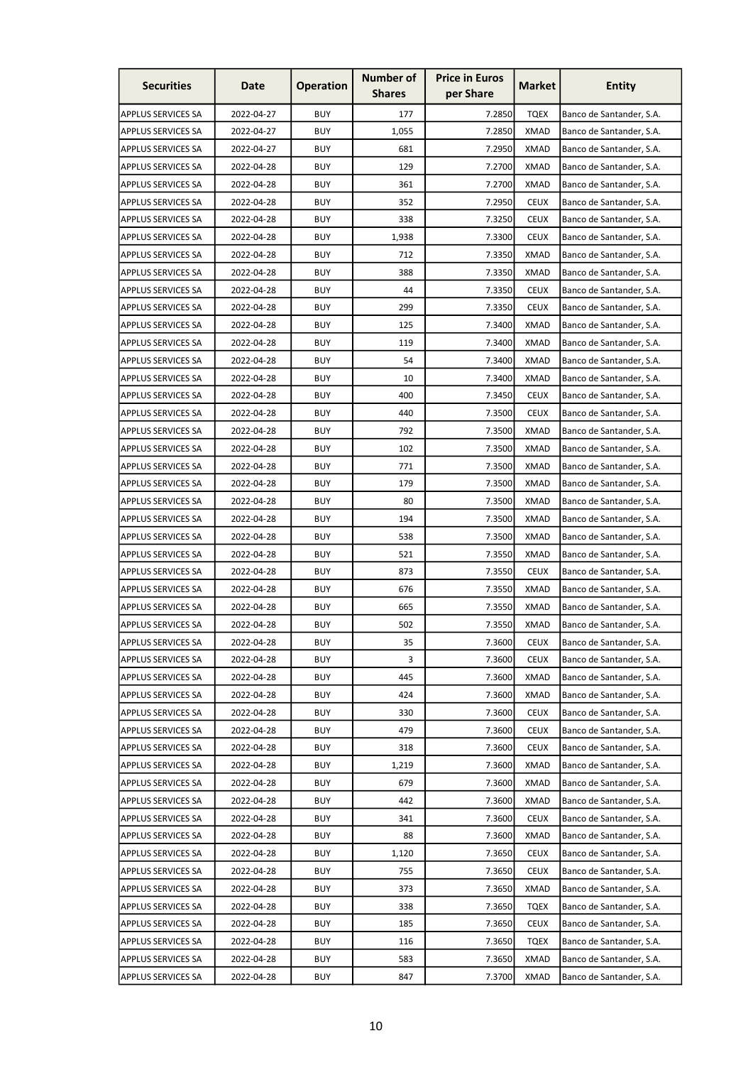| <b>Securities</b>         | Date       | <b>Operation</b> | <b>Number of</b><br><b>Shares</b> | <b>Price in Euros</b><br>per Share | <b>Market</b> | <b>Entity</b>            |
|---------------------------|------------|------------------|-----------------------------------|------------------------------------|---------------|--------------------------|
| <b>APPLUS SERVICES SA</b> | 2022-04-27 | <b>BUY</b>       | 177                               | 7.2850                             | <b>TQEX</b>   | Banco de Santander, S.A. |
| <b>APPLUS SERVICES SA</b> | 2022-04-27 | <b>BUY</b>       | 1,055                             | 7.2850                             | <b>XMAD</b>   | Banco de Santander, S.A. |
| <b>APPLUS SERVICES SA</b> | 2022-04-27 | <b>BUY</b>       | 681                               | 7.2950                             | <b>XMAD</b>   | Banco de Santander, S.A. |
| <b>APPLUS SERVICES SA</b> | 2022-04-28 | <b>BUY</b>       | 129                               | 7.2700                             | <b>XMAD</b>   | Banco de Santander, S.A. |
| <b>APPLUS SERVICES SA</b> | 2022-04-28 | <b>BUY</b>       | 361                               | 7.2700                             | <b>XMAD</b>   | Banco de Santander, S.A. |
| <b>APPLUS SERVICES SA</b> | 2022-04-28 | <b>BUY</b>       | 352                               | 7.2950                             | <b>CEUX</b>   | Banco de Santander, S.A. |
| <b>APPLUS SERVICES SA</b> | 2022-04-28 | <b>BUY</b>       | 338                               | 7.3250                             | <b>CEUX</b>   | Banco de Santander, S.A. |
| <b>APPLUS SERVICES SA</b> | 2022-04-28 | <b>BUY</b>       | 1,938                             | 7.3300                             | <b>CEUX</b>   | Banco de Santander, S.A. |
| APPLUS SERVICES SA        | 2022-04-28 | <b>BUY</b>       | 712                               | 7.3350                             | <b>XMAD</b>   | Banco de Santander, S.A. |
| <b>APPLUS SERVICES SA</b> | 2022-04-28 | <b>BUY</b>       | 388                               | 7.3350                             | <b>XMAD</b>   | Banco de Santander, S.A. |
| APPLUS SERVICES SA        | 2022-04-28 | <b>BUY</b>       | 44                                | 7.3350                             | <b>CEUX</b>   | Banco de Santander, S.A. |
| APPLUS SERVICES SA        | 2022-04-28 | <b>BUY</b>       | 299                               | 7.3350                             | <b>CEUX</b>   | Banco de Santander, S.A. |
| <b>APPLUS SERVICES SA</b> | 2022-04-28 | <b>BUY</b>       | 125                               | 7.3400                             | XMAD          | Banco de Santander, S.A. |
| APPLUS SERVICES SA        | 2022-04-28 | <b>BUY</b>       | 119                               | 7.3400                             | <b>XMAD</b>   | Banco de Santander, S.A. |
| APPLUS SERVICES SA        | 2022-04-28 | <b>BUY</b>       | 54                                | 7.3400                             | <b>XMAD</b>   | Banco de Santander, S.A. |
| <b>APPLUS SERVICES SA</b> | 2022-04-28 | <b>BUY</b>       | 10                                | 7.3400                             | <b>XMAD</b>   | Banco de Santander, S.A. |
| APPLUS SERVICES SA        | 2022-04-28 | <b>BUY</b>       | 400                               | 7.3450                             | <b>CEUX</b>   | Banco de Santander, S.A. |
| APPLUS SERVICES SA        | 2022-04-28 | <b>BUY</b>       | 440                               | 7.3500                             | <b>CEUX</b>   | Banco de Santander, S.A. |
| <b>APPLUS SERVICES SA</b> | 2022-04-28 | <b>BUY</b>       | 792                               | 7.3500                             | <b>XMAD</b>   | Banco de Santander, S.A. |
| APPLUS SERVICES SA        | 2022-04-28 | <b>BUY</b>       | 102                               | 7.3500                             | <b>XMAD</b>   | Banco de Santander, S.A. |
| APPLUS SERVICES SA        | 2022-04-28 | <b>BUY</b>       | 771                               | 7.3500                             | <b>XMAD</b>   | Banco de Santander, S.A. |
| APPLUS SERVICES SA        | 2022-04-28 | <b>BUY</b>       | 179                               | 7.3500                             | <b>XMAD</b>   | Banco de Santander, S.A. |
| APPLUS SERVICES SA        | 2022-04-28 | <b>BUY</b>       | 80                                | 7.3500                             | <b>XMAD</b>   | Banco de Santander, S.A. |
| APPLUS SERVICES SA        | 2022-04-28 | <b>BUY</b>       | 194                               | 7.3500                             | <b>XMAD</b>   | Banco de Santander, S.A. |
| APPLUS SERVICES SA        | 2022-04-28 | <b>BUY</b>       | 538                               | 7.3500                             | XMAD          | Banco de Santander, S.A. |
| APPLUS SERVICES SA        | 2022-04-28 | <b>BUY</b>       | 521                               | 7.3550                             | <b>XMAD</b>   | Banco de Santander, S.A. |
| <b>APPLUS SERVICES SA</b> | 2022-04-28 | <b>BUY</b>       | 873                               | 7.3550                             | <b>CEUX</b>   | Banco de Santander, S.A. |
| <b>APPLUS SERVICES SA</b> | 2022-04-28 | <b>BUY</b>       | 676                               | 7.3550                             | <b>XMAD</b>   | Banco de Santander, S.A. |
| <b>APPLUS SERVICES SA</b> | 2022-04-28 | <b>BUY</b>       | 665                               | 7.3550                             | <b>XMAD</b>   | Banco de Santander, S.A. |
| <b>APPLUS SERVICES SA</b> | 2022-04-28 | <b>BUY</b>       | 502                               | 7.3550                             | <b>XMAD</b>   | Banco de Santander, S.A. |
| <b>APPLUS SERVICES SA</b> | 2022-04-28 | <b>BUY</b>       | 35                                | 7.3600                             | <b>CEUX</b>   | Banco de Santander, S.A. |
| <b>APPLUS SERVICES SA</b> | 2022-04-28 | <b>BUY</b>       | 3                                 | 7.3600                             | <b>CEUX</b>   | Banco de Santander, S.A. |
| <b>APPLUS SERVICES SA</b> | 2022-04-28 | <b>BUY</b>       | 445                               | 7.3600                             | <b>XMAD</b>   | Banco de Santander, S.A. |
| <b>APPLUS SERVICES SA</b> | 2022-04-28 | <b>BUY</b>       | 424                               | 7.3600                             | <b>XMAD</b>   | Banco de Santander, S.A. |
| <b>APPLUS SERVICES SA</b> | 2022-04-28 | <b>BUY</b>       | 330                               | 7.3600                             | <b>CEUX</b>   | Banco de Santander, S.A. |
| <b>APPLUS SERVICES SA</b> | 2022-04-28 | <b>BUY</b>       | 479                               | 7.3600                             | <b>CEUX</b>   | Banco de Santander, S.A. |
| <b>APPLUS SERVICES SA</b> | 2022-04-28 | <b>BUY</b>       | 318                               | 7.3600                             | <b>CEUX</b>   | Banco de Santander, S.A. |
| <b>APPLUS SERVICES SA</b> | 2022-04-28 | <b>BUY</b>       | 1,219                             | 7.3600                             | <b>XMAD</b>   | Banco de Santander, S.A. |
| APPLUS SERVICES SA        | 2022-04-28 | <b>BUY</b>       | 679                               | 7.3600                             | <b>XMAD</b>   | Banco de Santander, S.A. |
| APPLUS SERVICES SA        | 2022-04-28 | <b>BUY</b>       | 442                               | 7.3600                             | <b>XMAD</b>   | Banco de Santander, S.A. |
| <b>APPLUS SERVICES SA</b> | 2022-04-28 | <b>BUY</b>       | 341                               | 7.3600                             | <b>CEUX</b>   | Banco de Santander, S.A. |
| <b>APPLUS SERVICES SA</b> | 2022-04-28 | <b>BUY</b>       | 88                                | 7.3600                             | <b>XMAD</b>   | Banco de Santander, S.A. |
| <b>APPLUS SERVICES SA</b> | 2022-04-28 | <b>BUY</b>       | 1,120                             | 7.3650                             | <b>CEUX</b>   | Banco de Santander, S.A. |
| <b>APPLUS SERVICES SA</b> | 2022-04-28 | <b>BUY</b>       | 755                               | 7.3650                             | <b>CEUX</b>   | Banco de Santander, S.A. |
| <b>APPLUS SERVICES SA</b> | 2022-04-28 | <b>BUY</b>       | 373                               | 7.3650                             | <b>XMAD</b>   | Banco de Santander, S.A. |
| <b>APPLUS SERVICES SA</b> | 2022-04-28 | <b>BUY</b>       | 338                               | 7.3650                             | <b>TQEX</b>   | Banco de Santander, S.A. |
| <b>APPLUS SERVICES SA</b> | 2022-04-28 | <b>BUY</b>       | 185                               | 7.3650                             | <b>CEUX</b>   | Banco de Santander, S.A. |
| <b>APPLUS SERVICES SA</b> | 2022-04-28 | <b>BUY</b>       | 116                               | 7.3650                             | <b>TQEX</b>   | Banco de Santander, S.A. |
| <b>APPLUS SERVICES SA</b> | 2022-04-28 | <b>BUY</b>       | 583                               | 7.3650                             | <b>XMAD</b>   | Banco de Santander, S.A. |
| <b>APPLUS SERVICES SA</b> | 2022-04-28 | <b>BUY</b>       | 847                               | 7.3700                             | <b>XMAD</b>   | Banco de Santander, S.A. |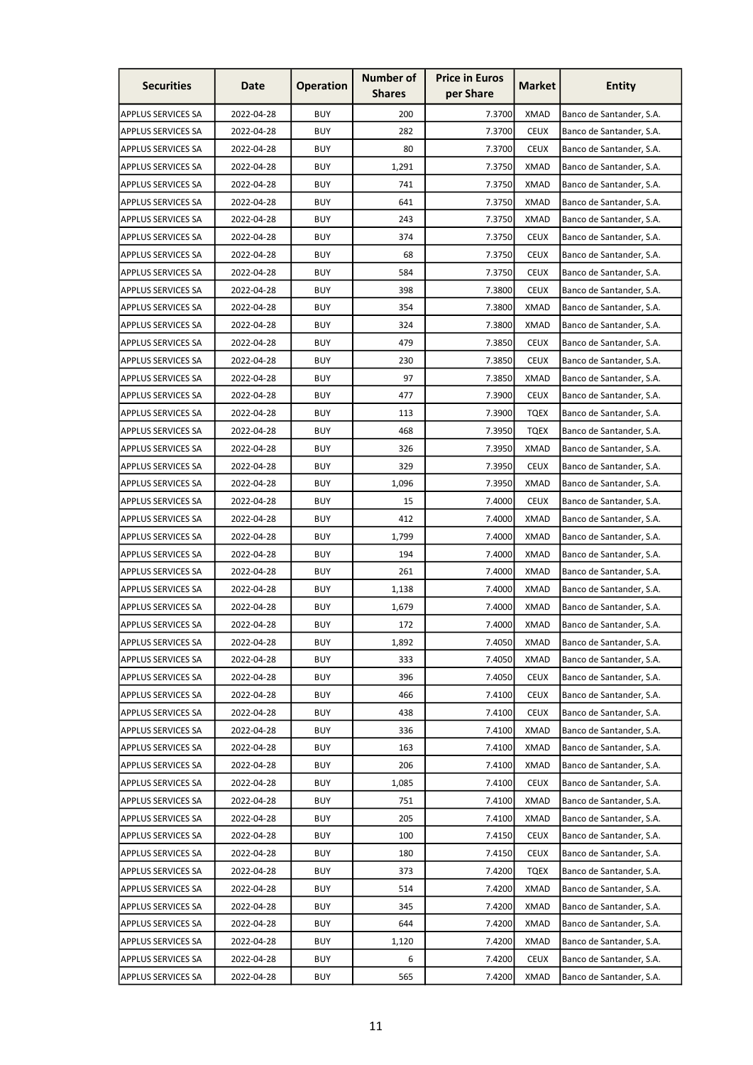| <b>Securities</b>         | Date       | <b>Operation</b> | <b>Number of</b><br><b>Shares</b> | <b>Price in Euros</b><br>per Share | <b>Market</b> | <b>Entity</b>            |
|---------------------------|------------|------------------|-----------------------------------|------------------------------------|---------------|--------------------------|
| <b>APPLUS SERVICES SA</b> | 2022-04-28 | <b>BUY</b>       | 200                               | 7.3700                             | <b>XMAD</b>   | Banco de Santander, S.A. |
| <b>APPLUS SERVICES SA</b> | 2022-04-28 | <b>BUY</b>       | 282                               | 7.3700                             | <b>CEUX</b>   | Banco de Santander, S.A. |
| <b>APPLUS SERVICES SA</b> | 2022-04-28 | <b>BUY</b>       | 80                                | 7.3700                             | <b>CEUX</b>   | Banco de Santander, S.A. |
| <b>APPLUS SERVICES SA</b> | 2022-04-28 | <b>BUY</b>       | 1,291                             | 7.3750                             | <b>XMAD</b>   | Banco de Santander, S.A. |
| <b>APPLUS SERVICES SA</b> | 2022-04-28 | <b>BUY</b>       | 741                               | 7.3750                             | <b>XMAD</b>   | Banco de Santander, S.A. |
| <b>APPLUS SERVICES SA</b> | 2022-04-28 | <b>BUY</b>       | 641                               | 7.3750                             | <b>XMAD</b>   | Banco de Santander, S.A. |
| <b>APPLUS SERVICES SA</b> | 2022-04-28 | <b>BUY</b>       | 243                               | 7.3750                             | <b>XMAD</b>   | Banco de Santander, S.A. |
| <b>APPLUS SERVICES SA</b> | 2022-04-28 | <b>BUY</b>       | 374                               | 7.3750                             | <b>CEUX</b>   | Banco de Santander, S.A. |
| APPLUS SERVICES SA        | 2022-04-28 | <b>BUY</b>       | 68                                | 7.3750                             | <b>CEUX</b>   | Banco de Santander, S.A. |
| <b>APPLUS SERVICES SA</b> | 2022-04-28 | <b>BUY</b>       | 584                               | 7.3750                             | <b>CEUX</b>   | Banco de Santander, S.A. |
| APPLUS SERVICES SA        | 2022-04-28 | <b>BUY</b>       | 398                               | 7.3800                             | <b>CEUX</b>   | Banco de Santander, S.A. |
| APPLUS SERVICES SA        | 2022-04-28 | <b>BUY</b>       | 354                               | 7.3800                             | <b>XMAD</b>   | Banco de Santander, S.A. |
| <b>APPLUS SERVICES SA</b> | 2022-04-28 | <b>BUY</b>       | 324                               | 7.3800                             | <b>XMAD</b>   | Banco de Santander, S.A. |
| APPLUS SERVICES SA        | 2022-04-28 | <b>BUY</b>       | 479                               | 7.3850                             | <b>CEUX</b>   | Banco de Santander, S.A. |
| APPLUS SERVICES SA        | 2022-04-28 | <b>BUY</b>       | 230                               | 7.3850                             | <b>CEUX</b>   | Banco de Santander, S.A. |
| <b>APPLUS SERVICES SA</b> | 2022-04-28 | <b>BUY</b>       | 97                                | 7.3850                             | <b>XMAD</b>   | Banco de Santander, S.A. |
| APPLUS SERVICES SA        | 2022-04-28 | <b>BUY</b>       | 477                               | 7.3900                             | <b>CEUX</b>   | Banco de Santander, S.A. |
| APPLUS SERVICES SA        | 2022-04-28 | <b>BUY</b>       | 113                               | 7.3900                             | <b>TQEX</b>   | Banco de Santander, S.A. |
| <b>APPLUS SERVICES SA</b> | 2022-04-28 | <b>BUY</b>       | 468                               | 7.3950                             | <b>TQEX</b>   | Banco de Santander, S.A. |
| APPLUS SERVICES SA        | 2022-04-28 | <b>BUY</b>       | 326                               | 7.3950                             | <b>XMAD</b>   | Banco de Santander, S.A. |
| <b>APPLUS SERVICES SA</b> | 2022-04-28 | <b>BUY</b>       | 329                               | 7.3950                             | <b>CEUX</b>   | Banco de Santander, S.A. |
| APPLUS SERVICES SA        | 2022-04-28 | <b>BUY</b>       | 1,096                             | 7.3950                             | <b>XMAD</b>   | Banco de Santander, S.A. |
| APPLUS SERVICES SA        | 2022-04-28 | <b>BUY</b>       | 15                                | 7.4000                             | <b>CEUX</b>   | Banco de Santander, S.A. |
| APPLUS SERVICES SA        | 2022-04-28 | <b>BUY</b>       | 412                               | 7.4000                             | <b>XMAD</b>   | Banco de Santander, S.A. |
| APPLUS SERVICES SA        | 2022-04-28 | <b>BUY</b>       | 1,799                             | 7.4000                             | XMAD          | Banco de Santander, S.A. |
| APPLUS SERVICES SA        | 2022-04-28 | <b>BUY</b>       | 194                               | 7.4000                             | XMAD          | Banco de Santander, S.A. |
| <b>APPLUS SERVICES SA</b> | 2022-04-28 | <b>BUY</b>       | 261                               | 7.4000                             | <b>XMAD</b>   | Banco de Santander, S.A. |
| <b>APPLUS SERVICES SA</b> | 2022-04-28 | <b>BUY</b>       | 1,138                             | 7.4000                             | <b>XMAD</b>   | Banco de Santander, S.A. |
| <b>APPLUS SERVICES SA</b> | 2022-04-28 | <b>BUY</b>       | 1,679                             | 7.4000                             | <b>XMAD</b>   | Banco de Santander, S.A. |
| <b>APPLUS SERVICES SA</b> | 2022-04-28 | <b>BUY</b>       | 172                               | 7.4000                             | <b>XMAD</b>   | Banco de Santander, S.A. |
| <b>APPLUS SERVICES SA</b> | 2022-04-28 | <b>BUY</b>       | 1,892                             | 7.4050                             | <b>XMAD</b>   | Banco de Santander, S.A. |
| <b>APPLUS SERVICES SA</b> | 2022-04-28 | <b>BUY</b>       | 333                               | 7.4050                             | <b>XMAD</b>   | Banco de Santander, S.A. |
| <b>APPLUS SERVICES SA</b> | 2022-04-28 | <b>BUY</b>       | 396                               | 7.4050                             | <b>CEUX</b>   | Banco de Santander, S.A. |
| <b>APPLUS SERVICES SA</b> | 2022-04-28 | <b>BUY</b>       | 466                               | 7.4100                             | <b>CEUX</b>   | Banco de Santander, S.A. |
| <b>APPLUS SERVICES SA</b> | 2022-04-28 | <b>BUY</b>       | 438                               | 7.4100                             | <b>CEUX</b>   | Banco de Santander, S.A. |
| <b>APPLUS SERVICES SA</b> | 2022-04-28 | <b>BUY</b>       | 336                               | 7.4100                             | <b>XMAD</b>   | Banco de Santander, S.A. |
| <b>APPLUS SERVICES SA</b> | 2022-04-28 | <b>BUY</b>       | 163                               | 7.4100                             | <b>XMAD</b>   | Banco de Santander, S.A. |
| <b>APPLUS SERVICES SA</b> | 2022-04-28 | <b>BUY</b>       | 206                               | 7.4100                             | <b>XMAD</b>   | Banco de Santander, S.A. |
| APPLUS SERVICES SA        | 2022-04-28 | <b>BUY</b>       | 1,085                             | 7.4100                             | <b>CEUX</b>   | Banco de Santander, S.A. |
| APPLUS SERVICES SA        | 2022-04-28 | <b>BUY</b>       | 751                               | 7.4100                             | <b>XMAD</b>   | Banco de Santander, S.A. |
| <b>APPLUS SERVICES SA</b> | 2022-04-28 | <b>BUY</b>       | 205                               | 7.4100                             | <b>XMAD</b>   | Banco de Santander, S.A. |
| <b>APPLUS SERVICES SA</b> | 2022-04-28 | <b>BUY</b>       | 100                               | 7.4150                             | <b>CEUX</b>   | Banco de Santander, S.A. |
| <b>APPLUS SERVICES SA</b> | 2022-04-28 | <b>BUY</b>       | 180                               | 7.4150                             | <b>CEUX</b>   | Banco de Santander, S.A. |
| <b>APPLUS SERVICES SA</b> | 2022-04-28 | <b>BUY</b>       | 373                               | 7.4200                             | <b>TQEX</b>   | Banco de Santander, S.A. |
| <b>APPLUS SERVICES SA</b> | 2022-04-28 | <b>BUY</b>       | 514                               | 7.4200                             | <b>XMAD</b>   | Banco de Santander, S.A. |
| <b>APPLUS SERVICES SA</b> | 2022-04-28 | <b>BUY</b>       | 345                               | 7.4200                             | <b>XMAD</b>   | Banco de Santander, S.A. |
| <b>APPLUS SERVICES SA</b> | 2022-04-28 | <b>BUY</b>       | 644                               | 7.4200                             | <b>XMAD</b>   | Banco de Santander, S.A. |
| <b>APPLUS SERVICES SA</b> | 2022-04-28 | <b>BUY</b>       | 1,120                             | 7.4200                             | <b>XMAD</b>   | Banco de Santander, S.A. |
| <b>APPLUS SERVICES SA</b> | 2022-04-28 | <b>BUY</b>       | 6                                 | 7.4200                             | <b>CEUX</b>   | Banco de Santander, S.A. |
| <b>APPLUS SERVICES SA</b> | 2022-04-28 | <b>BUY</b>       | 565                               | 7.4200                             | <b>XMAD</b>   | Banco de Santander, S.A. |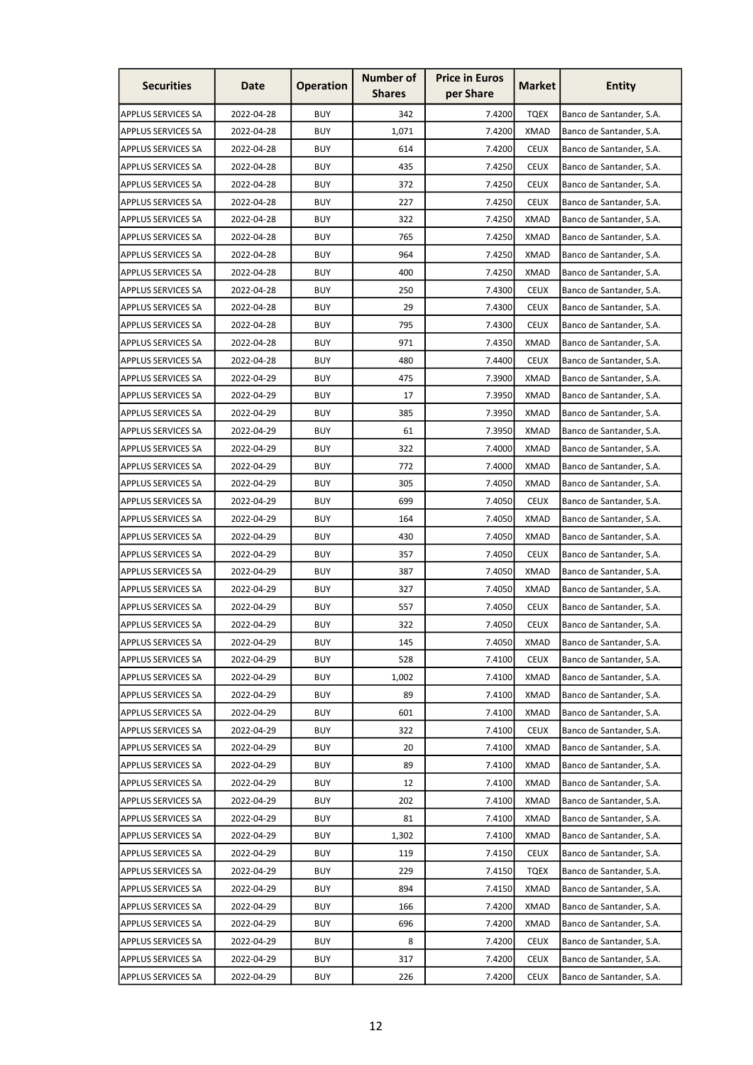| <b>Securities</b>         | Date       | <b>Operation</b> | <b>Number of</b><br><b>Shares</b> | <b>Price in Euros</b><br>per Share | <b>Market</b> | <b>Entity</b>            |
|---------------------------|------------|------------------|-----------------------------------|------------------------------------|---------------|--------------------------|
| <b>APPLUS SERVICES SA</b> | 2022-04-28 | <b>BUY</b>       | 342                               | 7.4200                             | <b>TQEX</b>   | Banco de Santander, S.A. |
| <b>APPLUS SERVICES SA</b> | 2022-04-28 | <b>BUY</b>       | 1,071                             | 7.4200                             | <b>XMAD</b>   | Banco de Santander, S.A. |
| <b>APPLUS SERVICES SA</b> | 2022-04-28 | <b>BUY</b>       | 614                               | 7.4200                             | <b>CEUX</b>   | Banco de Santander, S.A. |
| <b>APPLUS SERVICES SA</b> | 2022-04-28 | <b>BUY</b>       | 435                               | 7.4250                             | <b>CEUX</b>   | Banco de Santander, S.A. |
| <b>APPLUS SERVICES SA</b> | 2022-04-28 | <b>BUY</b>       | 372                               | 7.4250                             | <b>CEUX</b>   | Banco de Santander, S.A. |
| <b>APPLUS SERVICES SA</b> | 2022-04-28 | <b>BUY</b>       | 227                               | 7.4250                             | <b>CEUX</b>   | Banco de Santander, S.A. |
| <b>APPLUS SERVICES SA</b> | 2022-04-28 | <b>BUY</b>       | 322                               | 7.4250                             | <b>XMAD</b>   | Banco de Santander, S.A. |
| <b>APPLUS SERVICES SA</b> | 2022-04-28 | <b>BUY</b>       | 765                               | 7.4250                             | <b>XMAD</b>   | Banco de Santander, S.A. |
| APPLUS SERVICES SA        | 2022-04-28 | <b>BUY</b>       | 964                               | 7.4250                             | <b>XMAD</b>   | Banco de Santander, S.A. |
| <b>APPLUS SERVICES SA</b> | 2022-04-28 | <b>BUY</b>       | 400                               | 7.4250                             | <b>XMAD</b>   | Banco de Santander, S.A. |
| APPLUS SERVICES SA        | 2022-04-28 | <b>BUY</b>       | 250                               | 7.4300                             | <b>CEUX</b>   | Banco de Santander, S.A. |
| APPLUS SERVICES SA        | 2022-04-28 | <b>BUY</b>       | 29                                | 7.4300                             | <b>CEUX</b>   | Banco de Santander, S.A. |
| <b>APPLUS SERVICES SA</b> | 2022-04-28 | <b>BUY</b>       | 795                               | 7.4300                             | <b>CEUX</b>   | Banco de Santander, S.A. |
| APPLUS SERVICES SA        | 2022-04-28 | <b>BUY</b>       | 971                               | 7.4350                             | <b>XMAD</b>   | Banco de Santander, S.A. |
| APPLUS SERVICES SA        | 2022-04-28 | <b>BUY</b>       | 480                               | 7.4400                             | <b>CEUX</b>   | Banco de Santander, S.A. |
| <b>APPLUS SERVICES SA</b> | 2022-04-29 | <b>BUY</b>       | 475                               | 7.3900                             | <b>XMAD</b>   | Banco de Santander, S.A. |
| APPLUS SERVICES SA        | 2022-04-29 | <b>BUY</b>       | 17                                | 7.3950                             | <b>XMAD</b>   | Banco de Santander, S.A. |
| APPLUS SERVICES SA        | 2022-04-29 | <b>BUY</b>       | 385                               | 7.3950                             | <b>XMAD</b>   | Banco de Santander, S.A. |
| <b>APPLUS SERVICES SA</b> | 2022-04-29 | <b>BUY</b>       | 61                                | 7.3950                             | <b>XMAD</b>   | Banco de Santander, S.A. |
| APPLUS SERVICES SA        | 2022-04-29 | <b>BUY</b>       | 322                               | 7.4000                             | <b>XMAD</b>   | Banco de Santander, S.A. |
| APPLUS SERVICES SA        | 2022-04-29 | <b>BUY</b>       | 772                               | 7.4000                             | <b>XMAD</b>   | Banco de Santander, S.A. |
| APPLUS SERVICES SA        | 2022-04-29 | <b>BUY</b>       | 305                               | 7.4050                             | XMAD          | Banco de Santander, S.A. |
| APPLUS SERVICES SA        | 2022-04-29 | <b>BUY</b>       | 699                               | 7.4050                             | <b>CEUX</b>   | Banco de Santander, S.A. |
| APPLUS SERVICES SA        | 2022-04-29 | <b>BUY</b>       | 164                               | 7.4050                             | <b>XMAD</b>   | Banco de Santander, S.A. |
| APPLUS SERVICES SA        | 2022-04-29 | <b>BUY</b>       | 430                               | 7.4050                             | XMAD          | Banco de Santander, S.A. |
| APPLUS SERVICES SA        | 2022-04-29 | <b>BUY</b>       | 357                               | 7.4050                             | <b>CEUX</b>   | Banco de Santander, S.A. |
| <b>APPLUS SERVICES SA</b> | 2022-04-29 | <b>BUY</b>       | 387                               | 7.4050                             | <b>XMAD</b>   | Banco de Santander, S.A. |
| <b>APPLUS SERVICES SA</b> | 2022-04-29 | <b>BUY</b>       | 327                               | 7.4050                             | <b>XMAD</b>   | Banco de Santander, S.A. |
| <b>APPLUS SERVICES SA</b> | 2022-04-29 | <b>BUY</b>       | 557                               | 7.4050                             | <b>CEUX</b>   | Banco de Santander, S.A. |
| <b>APPLUS SERVICES SA</b> | 2022-04-29 | <b>BUY</b>       | 322                               | 7.4050                             | <b>CEUX</b>   | Banco de Santander, S.A. |
| <b>APPLUS SERVICES SA</b> | 2022-04-29 | <b>BUY</b>       | 145                               | 7.4050                             | <b>XMAD</b>   | Banco de Santander, S.A. |
| <b>APPLUS SERVICES SA</b> | 2022-04-29 | <b>BUY</b>       | 528                               | 7.4100                             | <b>CEUX</b>   | Banco de Santander, S.A. |
| <b>APPLUS SERVICES SA</b> | 2022-04-29 | <b>BUY</b>       | 1,002                             | 7.4100                             | <b>XMAD</b>   | Banco de Santander, S.A. |
| <b>APPLUS SERVICES SA</b> | 2022-04-29 | <b>BUY</b>       | 89                                | 7.4100                             | <b>XMAD</b>   | Banco de Santander, S.A. |
| <b>APPLUS SERVICES SA</b> | 2022-04-29 | <b>BUY</b>       | 601                               | 7.4100                             | <b>XMAD</b>   | Banco de Santander, S.A. |
| <b>APPLUS SERVICES SA</b> | 2022-04-29 | <b>BUY</b>       | 322                               | 7.4100                             | <b>CEUX</b>   | Banco de Santander, S.A. |
| <b>APPLUS SERVICES SA</b> | 2022-04-29 | <b>BUY</b>       | 20                                | 7.4100                             | <b>XMAD</b>   | Banco de Santander, S.A. |
| <b>APPLUS SERVICES SA</b> | 2022-04-29 | <b>BUY</b>       | 89                                | 7.4100                             | <b>XMAD</b>   | Banco de Santander, S.A. |
| APPLUS SERVICES SA        | 2022-04-29 | <b>BUY</b>       | 12                                | 7.4100                             | <b>XMAD</b>   | Banco de Santander, S.A. |
| APPLUS SERVICES SA        | 2022-04-29 | <b>BUY</b>       | 202                               | 7.4100                             | <b>XMAD</b>   | Banco de Santander, S.A. |
| <b>APPLUS SERVICES SA</b> | 2022-04-29 | <b>BUY</b>       | 81                                | 7.4100                             | <b>XMAD</b>   | Banco de Santander, S.A. |
| <b>APPLUS SERVICES SA</b> | 2022-04-29 | <b>BUY</b>       | 1,302                             | 7.4100                             | <b>XMAD</b>   | Banco de Santander, S.A. |
| <b>APPLUS SERVICES SA</b> | 2022-04-29 | <b>BUY</b>       | 119                               | 7.4150                             | <b>CEUX</b>   | Banco de Santander, S.A. |
| <b>APPLUS SERVICES SA</b> | 2022-04-29 | <b>BUY</b>       | 229                               | 7.4150                             | <b>TQEX</b>   | Banco de Santander, S.A. |
| <b>APPLUS SERVICES SA</b> | 2022-04-29 | <b>BUY</b>       | 894                               | 7.4150                             | <b>XMAD</b>   | Banco de Santander, S.A. |
| <b>APPLUS SERVICES SA</b> | 2022-04-29 | <b>BUY</b>       | 166                               | 7.4200                             | <b>XMAD</b>   | Banco de Santander, S.A. |
| <b>APPLUS SERVICES SA</b> | 2022-04-29 | <b>BUY</b>       | 696                               | 7.4200                             | XMAD          | Banco de Santander, S.A. |
| <b>APPLUS SERVICES SA</b> | 2022-04-29 | <b>BUY</b>       | 8                                 | 7.4200                             | <b>CEUX</b>   | Banco de Santander, S.A. |
| <b>APPLUS SERVICES SA</b> | 2022-04-29 | <b>BUY</b>       | 317                               | 7.4200                             | <b>CEUX</b>   | Banco de Santander, S.A. |
| <b>APPLUS SERVICES SA</b> | 2022-04-29 | <b>BUY</b>       | 226                               | 7.4200                             | <b>CEUX</b>   | Banco de Santander, S.A. |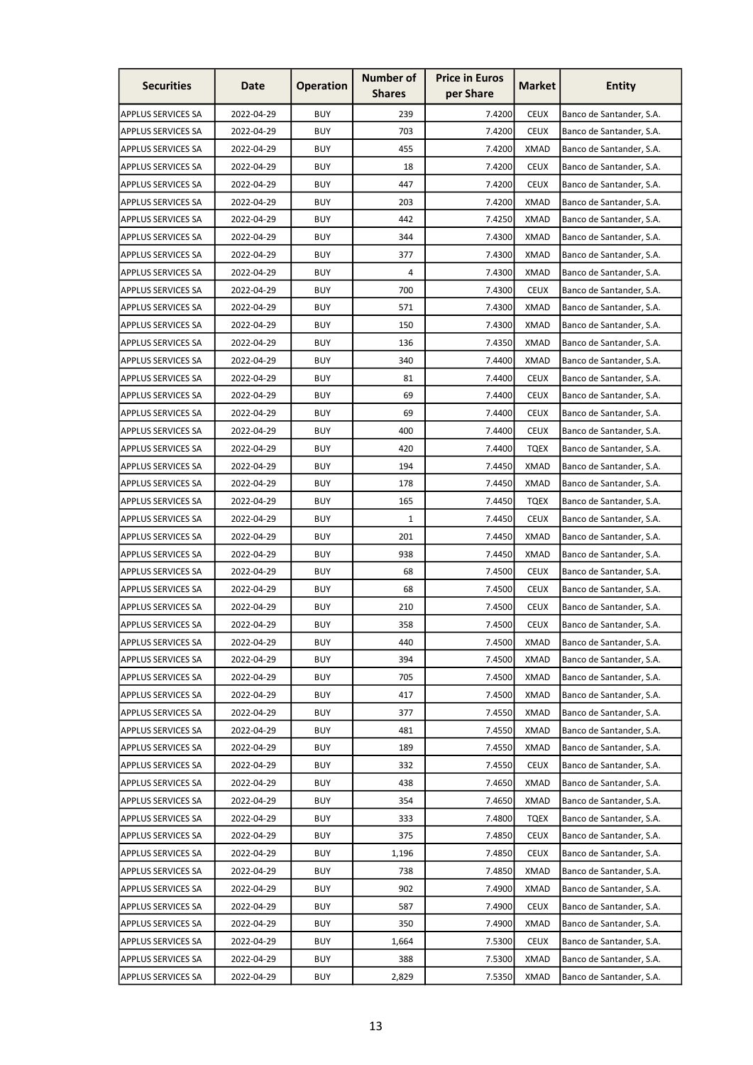| <b>Securities</b>         | Date       | <b>Operation</b> | <b>Number of</b><br><b>Shares</b> | <b>Price in Euros</b><br>per Share | Market      | <b>Entity</b>            |
|---------------------------|------------|------------------|-----------------------------------|------------------------------------|-------------|--------------------------|
| <b>APPLUS SERVICES SA</b> | 2022-04-29 | <b>BUY</b>       | 239                               | 7.4200                             | <b>CEUX</b> | Banco de Santander, S.A. |
| <b>APPLUS SERVICES SA</b> | 2022-04-29 | <b>BUY</b>       | 703                               | 7.4200                             | <b>CEUX</b> | Banco de Santander, S.A. |
| APPLUS SERVICES SA        | 2022-04-29 | <b>BUY</b>       | 455                               | 7.4200                             | <b>XMAD</b> | Banco de Santander, S.A. |
| <b>APPLUS SERVICES SA</b> | 2022-04-29 | <b>BUY</b>       | 18                                | 7.4200                             | <b>CEUX</b> | Banco de Santander, S.A. |
| <b>APPLUS SERVICES SA</b> | 2022-04-29 | <b>BUY</b>       | 447                               | 7.4200                             | <b>CEUX</b> | Banco de Santander, S.A. |
| APPLUS SERVICES SA        | 2022-04-29 | <b>BUY</b>       | 203                               | 7.4200                             | <b>XMAD</b> | Banco de Santander, S.A. |
| <b>APPLUS SERVICES SA</b> | 2022-04-29 | <b>BUY</b>       | 442                               | 7.4250                             | XMAD        | Banco de Santander, S.A. |
| APPLUS SERVICES SA        | 2022-04-29 | <b>BUY</b>       | 344                               | 7.4300                             | <b>XMAD</b> | Banco de Santander, S.A. |
| APPLUS SERVICES SA        | 2022-04-29 | <b>BUY</b>       | 377                               | 7.4300                             | <b>XMAD</b> | Banco de Santander, S.A. |
| <b>APPLUS SERVICES SA</b> | 2022-04-29 | <b>BUY</b>       | 4                                 | 7.4300                             | <b>XMAD</b> | Banco de Santander, S.A. |
| APPLUS SERVICES SA        | 2022-04-29 | <b>BUY</b>       | 700                               | 7.4300                             | <b>CEUX</b> | Banco de Santander, S.A. |
| APPLUS SERVICES SA        | 2022-04-29 | <b>BUY</b>       | 571                               | 7.4300                             | <b>XMAD</b> | Banco de Santander, S.A. |
| <b>APPLUS SERVICES SA</b> | 2022-04-29 | <b>BUY</b>       | 150                               | 7.4300                             | XMAD        | Banco de Santander, S.A. |
| APPLUS SERVICES SA        | 2022-04-29 | <b>BUY</b>       | 136                               | 7.4350                             | <b>XMAD</b> | Banco de Santander, S.A. |
| APPLUS SERVICES SA        | 2022-04-29 | <b>BUY</b>       | 340                               | 7.4400                             | <b>XMAD</b> | Banco de Santander, S.A. |
| <b>APPLUS SERVICES SA</b> | 2022-04-29 | <b>BUY</b>       | 81                                | 7.4400                             | <b>CEUX</b> | Banco de Santander, S.A. |
| APPLUS SERVICES SA        | 2022-04-29 | <b>BUY</b>       | 69                                | 7.4400                             | <b>CEUX</b> | Banco de Santander, S.A. |
| APPLUS SERVICES SA        | 2022-04-29 | <b>BUY</b>       | 69                                | 7.4400                             | <b>CEUX</b> | Banco de Santander, S.A. |
| APPLUS SERVICES SA        | 2022-04-29 | <b>BUY</b>       | 400                               | 7.4400                             | <b>CEUX</b> | Banco de Santander, S.A. |
| APPLUS SERVICES SA        | 2022-04-29 | <b>BUY</b>       | 420                               | 7.4400                             | <b>TQEX</b> | Banco de Santander, S.A. |
| APPLUS SERVICES SA        | 2022-04-29 | <b>BUY</b>       | 194                               | 7.4450                             | <b>XMAD</b> | Banco de Santander, S.A. |
| <b>APPLUS SERVICES SA</b> | 2022-04-29 | <b>BUY</b>       | 178                               | 7.4450                             | <b>XMAD</b> | Banco de Santander, S.A. |
| <b>APPLUS SERVICES SA</b> | 2022-04-29 | <b>BUY</b>       | 165                               | 7.4450                             | <b>TQEX</b> | Banco de Santander, S.A. |
| <b>APPLUS SERVICES SA</b> | 2022-04-29 | <b>BUY</b>       | 1                                 | 7.4450                             | <b>CEUX</b> | Banco de Santander, S.A. |
| APPLUS SERVICES SA        | 2022-04-29 | <b>BUY</b>       | 201                               | 7.4450                             | <b>XMAD</b> | Banco de Santander, S.A. |
| <b>APPLUS SERVICES SA</b> | 2022-04-29 | <b>BUY</b>       | 938                               | 7.4450                             | <b>XMAD</b> | Banco de Santander, S.A. |
| <b>APPLUS SERVICES SA</b> | 2022-04-29 | <b>BUY</b>       | 68                                | 7.4500                             | <b>CEUX</b> | Banco de Santander, S.A. |
| <b>APPLUS SERVICES SA</b> | 2022-04-29 | <b>BUY</b>       | 68                                | 7.4500                             | <b>CEUX</b> | Banco de Santander, S.A. |
| <b>APPLUS SERVICES SA</b> | 2022-04-29 | <b>BUY</b>       | 210                               | 7.4500                             | <b>CEUX</b> | Banco de Santander, S.A. |
| <b>APPLUS SERVICES SA</b> | 2022-04-29 | <b>BUY</b>       | 358                               | 7.4500                             | <b>CEUX</b> | Banco de Santander, S.A. |
| <b>APPLUS SERVICES SA</b> | 2022-04-29 | <b>BUY</b>       | 440                               | 7.4500                             | XMAD        | Banco de Santander, S.A. |
| <b>APPLUS SERVICES SA</b> | 2022-04-29 | <b>BUY</b>       | 394                               | 7.4500                             | <b>XMAD</b> | Banco de Santander, S.A. |
| APPLUS SERVICES SA        | 2022-04-29 | <b>BUY</b>       | 705                               | 7.4500                             | <b>XMAD</b> | Banco de Santander, S.A. |
| <b>APPLUS SERVICES SA</b> | 2022-04-29 | <b>BUY</b>       | 417                               | 7.4500                             | <b>XMAD</b> | Banco de Santander, S.A. |
| <b>APPLUS SERVICES SA</b> | 2022-04-29 | <b>BUY</b>       | 377                               | 7.4550                             | <b>XMAD</b> | Banco de Santander, S.A. |
| <b>APPLUS SERVICES SA</b> | 2022-04-29 | <b>BUY</b>       | 481                               | 7.4550                             | <b>XMAD</b> | Banco de Santander, S.A. |
| <b>APPLUS SERVICES SA</b> | 2022-04-29 | <b>BUY</b>       | 189                               | 7.4550                             | <b>XMAD</b> | Banco de Santander, S.A. |
| <b>APPLUS SERVICES SA</b> | 2022-04-29 | <b>BUY</b>       | 332                               | 7.4550                             | <b>CEUX</b> | Banco de Santander, S.A. |
| <b>APPLUS SERVICES SA</b> | 2022-04-29 | <b>BUY</b>       | 438                               | 7.4650                             | <b>XMAD</b> | Banco de Santander, S.A. |
| <b>APPLUS SERVICES SA</b> | 2022-04-29 | <b>BUY</b>       | 354                               | 7.4650                             | <b>XMAD</b> | Banco de Santander, S.A. |
| <b>APPLUS SERVICES SA</b> | 2022-04-29 | <b>BUY</b>       | 333                               | 7.4800                             | <b>TQEX</b> | Banco de Santander, S.A. |
| <b>APPLUS SERVICES SA</b> | 2022-04-29 | <b>BUY</b>       | 375                               | 7.4850                             | <b>CEUX</b> | Banco de Santander, S.A. |
| <b>APPLUS SERVICES SA</b> | 2022-04-29 | <b>BUY</b>       | 1,196                             | 7.4850                             | <b>CEUX</b> | Banco de Santander, S.A. |
| <b>APPLUS SERVICES SA</b> | 2022-04-29 | <b>BUY</b>       | 738                               | 7.4850                             | XMAD        | Banco de Santander, S.A. |
| <b>APPLUS SERVICES SA</b> | 2022-04-29 | <b>BUY</b>       | 902                               | 7.4900                             | <b>XMAD</b> | Banco de Santander, S.A. |
| <b>APPLUS SERVICES SA</b> | 2022-04-29 | <b>BUY</b>       | 587                               | 7.4900                             | <b>CEUX</b> | Banco de Santander, S.A. |
| <b>APPLUS SERVICES SA</b> | 2022-04-29 | <b>BUY</b>       | 350                               | 7.4900                             | <b>XMAD</b> | Banco de Santander, S.A. |
| APPLUS SERVICES SA        | 2022-04-29 | <b>BUY</b>       | 1,664                             | 7.5300                             | <b>CEUX</b> | Banco de Santander, S.A. |
| <b>APPLUS SERVICES SA</b> | 2022-04-29 | <b>BUY</b>       | 388                               | 7.5300                             | <b>XMAD</b> | Banco de Santander, S.A. |
| <b>APPLUS SERVICES SA</b> | 2022-04-29 | <b>BUY</b>       | 2,829                             | 7.5350                             | <b>XMAD</b> | Banco de Santander, S.A. |
|                           |            |                  |                                   |                                    |             |                          |